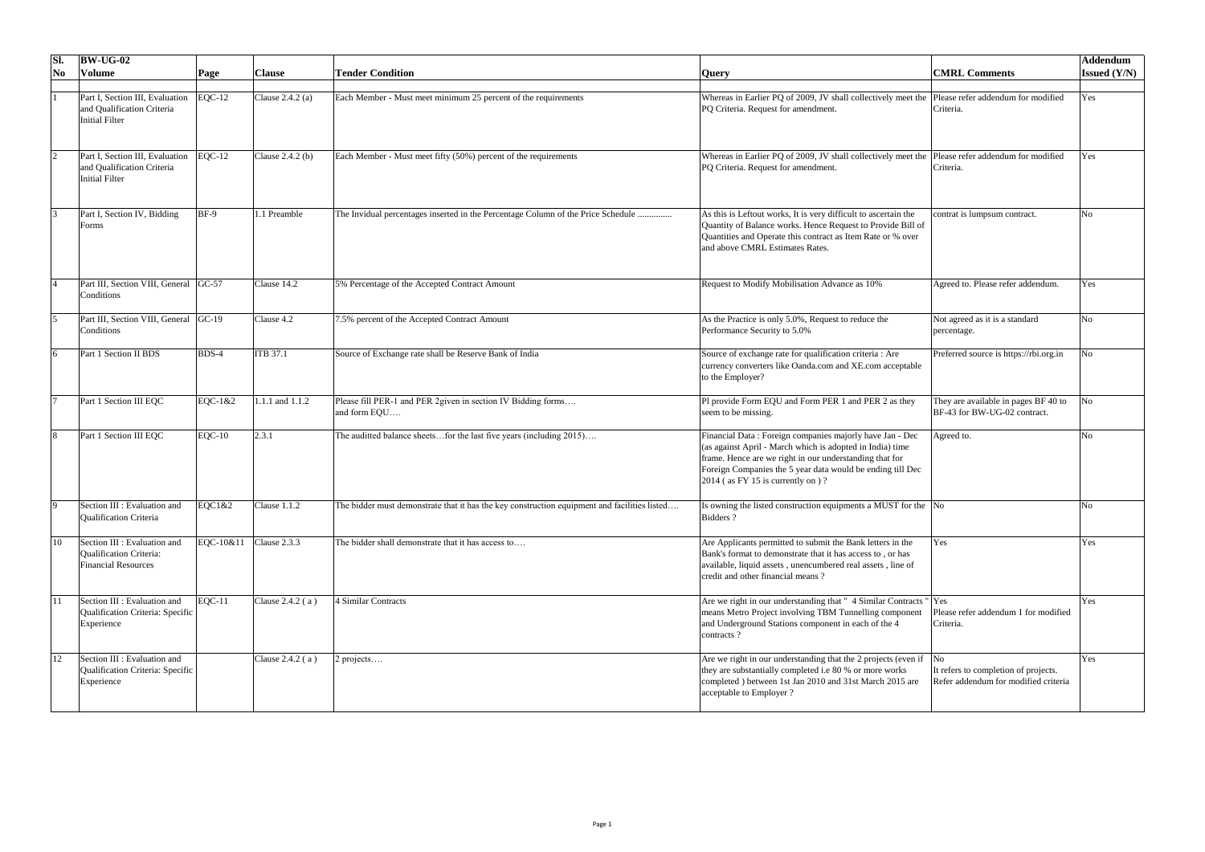| Sl.                    | $\vert$ BW-UG-02                                                                             |             |                    |                                                                                              |                                                                                                                                                                                                                                                                                        |                                                                              | Addendum            |
|------------------------|----------------------------------------------------------------------------------------------|-------------|--------------------|----------------------------------------------------------------------------------------------|----------------------------------------------------------------------------------------------------------------------------------------------------------------------------------------------------------------------------------------------------------------------------------------|------------------------------------------------------------------------------|---------------------|
| $\overline{\text{No}}$ | <b>Volume</b>                                                                                | Page        | <b>Clause</b>      | Tender Condition                                                                             | <b>Query</b>                                                                                                                                                                                                                                                                           | <b>CMRL Comments</b>                                                         | <b>Issued (Y/N)</b> |
|                        | Part I, Section III, Evaluation EQC-12<br>and Qualification Criteria<br>Initial Filter       |             | Clause $2.4.2$ (a) | Each Member - Must meet minimum 25 percent of the requirements                               | Whereas in Earlier PQ of 2009, JV shall collectively meet the Please refer addendum for modified<br>PQ Criteria. Request for amendment.                                                                                                                                                | Criteria.                                                                    | Yes                 |
|                        | Part I, Section III, Evaluation EQC-12<br>and Qualification Criteria<br>Initial Filter       |             | Clause $2.4.2$ (b) | Each Member - Must meet fifty (50%) percent of the requirements                              | Whereas in Earlier PQ of 2009, JV shall collectively meet the Please refer addendum for modified<br>PQ Criteria. Request for amendment.                                                                                                                                                | Criteria.                                                                    | Yes                 |
|                        | Part I, Section IV, Bidding<br>Forms                                                         | <b>BF-9</b> | 1 Preamble         | The Invidual percentages inserted in the Percentage Column of the Price Schedule             | As this is Leftout works, It is very difficult to ascertain the<br>Quantity of Balance works. Hence Request to Provide Bill of<br>Quantities and Operate this contract as Item Rate or % over<br>and above CMRL Estimates Rates.                                                       | contrat is lumpsum contract.                                                 | N <sub>o</sub>      |
|                        | Part III, Section VIII, General GC-57<br><b>Conditions</b>                                   |             | Clause 14.2        | 5% Percentage of the Accepted Contract Amount                                                | Request to Modify Mobilisation Advance as 10%                                                                                                                                                                                                                                          | Agreed to. Please refer addendum.                                            | Yes                 |
|                        | Part III, Section VIII, General GC-19<br><b>Conditions</b>                                   |             | Clause 4.2         | 7.5% percent of the Accepted Contract Amount                                                 | As the Practice is only 5.0%, Request to reduce the<br>Performance Security to 5.0%                                                                                                                                                                                                    | Not agreed as it is a standard<br>percentage.                                | <b>No</b>           |
|                        | <b>Part 1 Section II BDS</b>                                                                 | BDS-4       | <b>ITB 37.1</b>    | Source of Exchange rate shall be Reserve Bank of India                                       | Source of exchange rate for qualification criteria : Are<br>currency converters like Oanda.com and XE.com acceptable<br>to the Employer?                                                                                                                                               | Preferred source is https://rbi.org.in                                       | <b>No</b>           |
|                        | Part 1 Section III EQC                                                                       | EQC-1&2     | 1.1.1 and 1.1.2    | Please fill PER-1 and PER 2given in section IV Bidding forms<br>and form EQU                 | Pl provide Form EQU and Form PER 1 and PER 2 as they<br>seem to be missing.                                                                                                                                                                                                            | They are available in pages BF 40 to<br>BF-43 for BW-UG-02 contract.         | No                  |
|                        | Part 1 Section III EQC                                                                       | $EQC-10$    | 2.3.1              | The auditted balance sheetsfor the last five years (including 2015)                          | Financial Data : Foreign companies majorly have Jan - Dec<br>(as against April - March which is adopted in India) time<br>frame. Hence are we right in our understanding that for<br>Foreign Companies the 5 year data would be ending till Dec<br>$2014$ (as FY 15 is currently on )? | Agreed to.                                                                   |                     |
| IQ.                    | Section III : Evaluation and<br><b>Qualification Criteria</b>                                | EQC1&2      | Clause 1.1.2       | The bidder must demonstrate that it has the key construction equipment and facilities listed | s owning the listed construction equipments a MUST for the No<br>Bidders?                                                                                                                                                                                                              |                                                                              |                     |
| 10                     | Section III : Evaluation and<br><b>Qualification Criteria:</b><br><b>Financial Resources</b> | EQC-10&11   | Clause 2.3.3       | The bidder shall demonstrate that it has access to                                           | Are Applicants permitted to submit the Bank letters in the<br>Bank's format to demonstrate that it has access to, or has<br>available, liquid assets, unencumbered real assets, line of<br>credit and other financial means?                                                           | Yes                                                                          | Yes                 |
|                        | Section III : Evaluation and<br>Qualification Criteria: Specific<br>Experience               | $EQC-11$    | Clause $2.4.2(a)$  | 4 Similar Contracts                                                                          | Are we right in our understanding that "4 Similar Contracts "  Yes<br>means Metro Project involving TBM Tunnelling component<br>and Underground Stations component in each of the 4<br>contracts?                                                                                      | Please refer addendum 1 for modified<br>Criteria.                            | Yes                 |
| 12                     | Section III : Evaluation and<br>Qualification Criteria: Specific<br>Experience               |             | Clause $2.4.2(a)$  | $2$ projects                                                                                 | Are we right in our understanding that the 2 projects (even if $\vert$ No<br>they are substantially completed i.e 80 % or more works<br>completed) between 1st Jan 2010 and 31st March 2015 are<br>acceptable to Employer ?                                                            | It refers to completion of projects.<br>Refer addendum for modified criteria | Yes                 |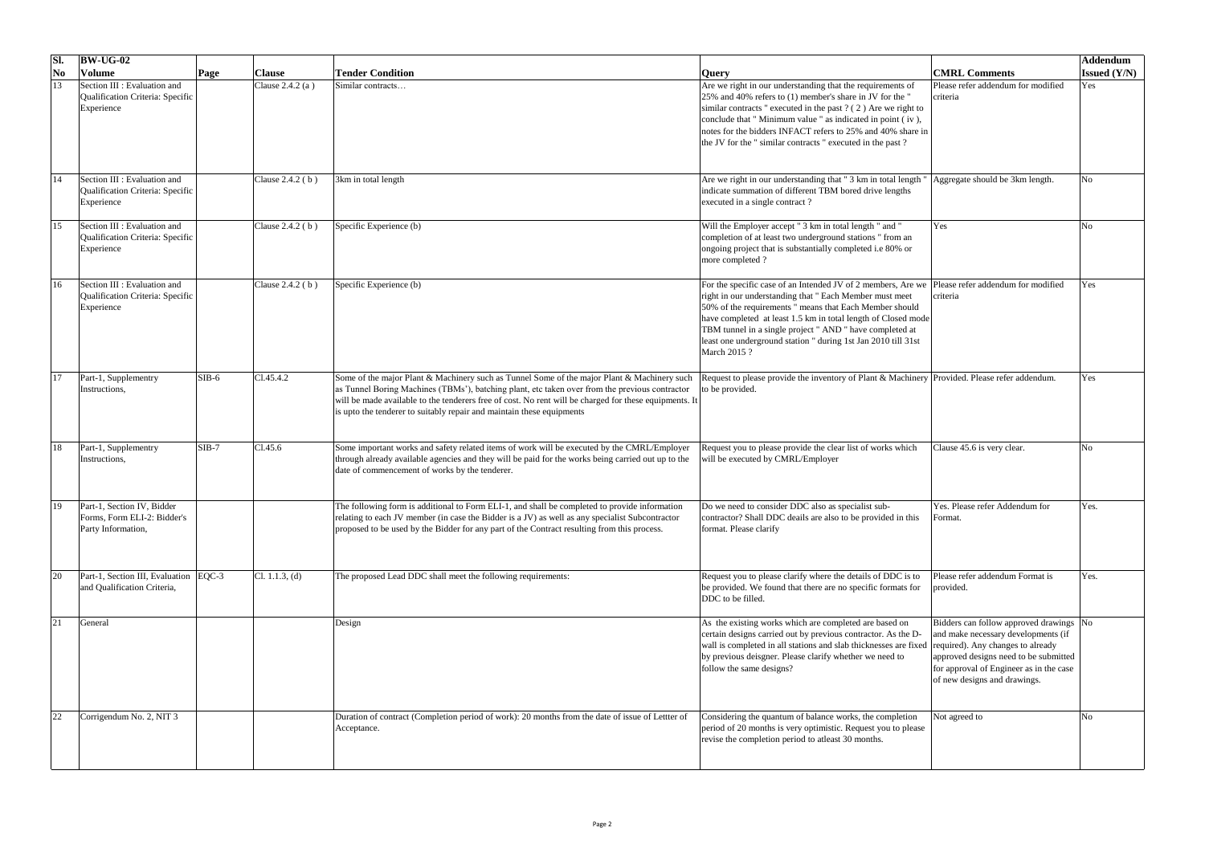| Sl.                    | $\vert$ BW-UG-02                                                                |         |                    |                                                                                                                                                                                                                                                                                                                                                                                  |                                                                                                                                                                                                                                                                                                                                                                                                                                     |                                                                                                                                                                                                                                         | Addendum            |
|------------------------|---------------------------------------------------------------------------------|---------|--------------------|----------------------------------------------------------------------------------------------------------------------------------------------------------------------------------------------------------------------------------------------------------------------------------------------------------------------------------------------------------------------------------|-------------------------------------------------------------------------------------------------------------------------------------------------------------------------------------------------------------------------------------------------------------------------------------------------------------------------------------------------------------------------------------------------------------------------------------|-----------------------------------------------------------------------------------------------------------------------------------------------------------------------------------------------------------------------------------------|---------------------|
| $\overline{\text{No}}$ | <b>Volume</b>                                                                   | Page    | <b>Clause</b>      | <b>Tender Condition</b>                                                                                                                                                                                                                                                                                                                                                          | <b>Query</b>                                                                                                                                                                                                                                                                                                                                                                                                                        | <b>CMRL Comments</b>                                                                                                                                                                                                                    | <b>Issued</b> (Y/N) |
| 13                     | Section III : Evaluation and<br>Qualification Criteria: Specific<br>Experience  |         | Clause $2.4.2(a)$  | Similar contracts                                                                                                                                                                                                                                                                                                                                                                | Are we right in our understanding that the requirements of<br>25% and 40% refers to (1) member's share in JV for the "<br>similar contracts " executed in the past $?$ (2) Are we right to<br>conclude that " Minimum value " as indicated in point (iv),<br>notes for the bidders INFACT refers to 25% and 40% share in<br>the JV for the "similar contracts" executed in the past?                                                | Please refer addendum for modified<br>criteria                                                                                                                                                                                          | Yes                 |
| 14                     | Section III : Evaluation and<br>Qualification Criteria: Specific<br>Experience  |         | Clause $2.4.2$ (b) | 3km in total length                                                                                                                                                                                                                                                                                                                                                              | Are we right in our understanding that "3 km in total length "<br>indicate summation of different TBM bored drive lengths<br>executed in a single contract?                                                                                                                                                                                                                                                                         | Aggregate should be 3km length.                                                                                                                                                                                                         | N <sub>0</sub>      |
| 15                     | Section III : Evaluation and<br>Qualification Criteria: Specific<br>Experience  |         | Clause $2.4.2$ (b) | Specific Experience (b)                                                                                                                                                                                                                                                                                                                                                          | Will the Employer accept " 3 km in total length " and "<br>completion of at least two underground stations " from an<br>ongoing project that is substantially completed i.e 80% or<br>more completed?                                                                                                                                                                                                                               | Yes                                                                                                                                                                                                                                     | No                  |
| 16                     | Section III : Evaluation and<br>Qualification Criteria: Specific<br>Experience  |         | Clause $2.4.2$ (b) | Specific Experience (b)                                                                                                                                                                                                                                                                                                                                                          | For the specific case of an Intended JV of 2 members, Are we Please refer addendum for modified<br>right in our understanding that " Each Member must meet<br>50% of the requirements " means that Each Member should<br>have completed at least 1.5 km in total length of Closed mode<br>TBM tunnel in a single project " AND " have completed at<br>least one underground station " during 1st Jan 2010 till 31st<br>March 2015 ? | criteria                                                                                                                                                                                                                                | Yes                 |
|                        | Part-1, Supplementry<br>Instructions,                                           | $SIB-6$ | C1.45.4.2          | Some of the major Plant & Machinery such as Tunnel Some of the major Plant & Machinery such<br>as Tunnel Boring Machines (TBMs'), batching plant, etc taken over from the previous contractor<br>will be made available to the tenderers free of cost. No rent will be charged for these equipments. It<br>is upto the tenderer to suitably repair and maintain these equipments | Request to please provide the inventory of Plant & Machinery Provided. Please refer addendum.<br>to be provided.                                                                                                                                                                                                                                                                                                                    |                                                                                                                                                                                                                                         | Yes                 |
| 18                     | Part-1, Supplementry<br>Instructions,                                           | $SIB-7$ | C1.45.6            | Some important works and safety related items of work will be executed by the CMRL/Employer<br>through already available agencies and they will be paid for the works being carried out up to the<br>date of commencement of works by the tenderer.                                                                                                                              | Request you to please provide the clear list of works which<br>will be executed by CMRL/Employer                                                                                                                                                                                                                                                                                                                                    | Clause 45.6 is very clear.                                                                                                                                                                                                              | No                  |
| 19                     | Part-1, Section IV, Bidder<br>Forms, Form ELI-2: Bidder's<br>Party Information, |         |                    | The following form is additional to Form ELI-1, and shall be completed to provide information<br>relating to each JV member (in case the Bidder is a JV) as well as any specialist Subcontractor<br>proposed to be used by the Bidder for any part of the Contract resulting from this process.                                                                                  | Do we need to consider DDC also as specialist sub-<br>contractor? Shall DDC deails are also to be provided in this<br>format. Please clarify                                                                                                                                                                                                                                                                                        | Yes. Please refer Addendum for<br>Format.                                                                                                                                                                                               | Yes.                |
|                        | Part-1, Section III, Evaluation   EQC-3<br>and Qualification Criteria,          |         | Cl. 1.1.3, (d)     | The proposed Lead DDC shall meet the following requirements:                                                                                                                                                                                                                                                                                                                     | Request you to please clarify where the details of DDC is to<br>be provided. We found that there are no specific formats for<br>DDC to be filled.                                                                                                                                                                                                                                                                                   | Please refer addendum Format is<br>provided.                                                                                                                                                                                            | Yes.                |
| 21                     | General                                                                         |         |                    | Design                                                                                                                                                                                                                                                                                                                                                                           | As the existing works which are completed are based on<br>certain designs carried out by previous contractor. As the D-<br>wall is completed in all stations and slab thicknesses are fixed<br>by previous deisgner. Please clarify whether we need to<br>follow the same designs?                                                                                                                                                  | Bidders can follow approved drawings No<br>and make necessary developments (if<br>required). Any changes to already<br>approved designs need to be submitted<br>for approval of Engineer as in the case<br>of new designs and drawings. |                     |
| 22                     | Corrigendum No. 2, NIT 3                                                        |         |                    | Duration of contract (Completion period of work): 20 months from the date of issue of Lettter of<br>Acceptance.                                                                                                                                                                                                                                                                  | Considering the quantum of balance works, the completion<br>period of 20 months is very optimistic. Request you to please<br>revise the completion period to atleast 30 months.                                                                                                                                                                                                                                                     | Not agreed to                                                                                                                                                                                                                           |                     |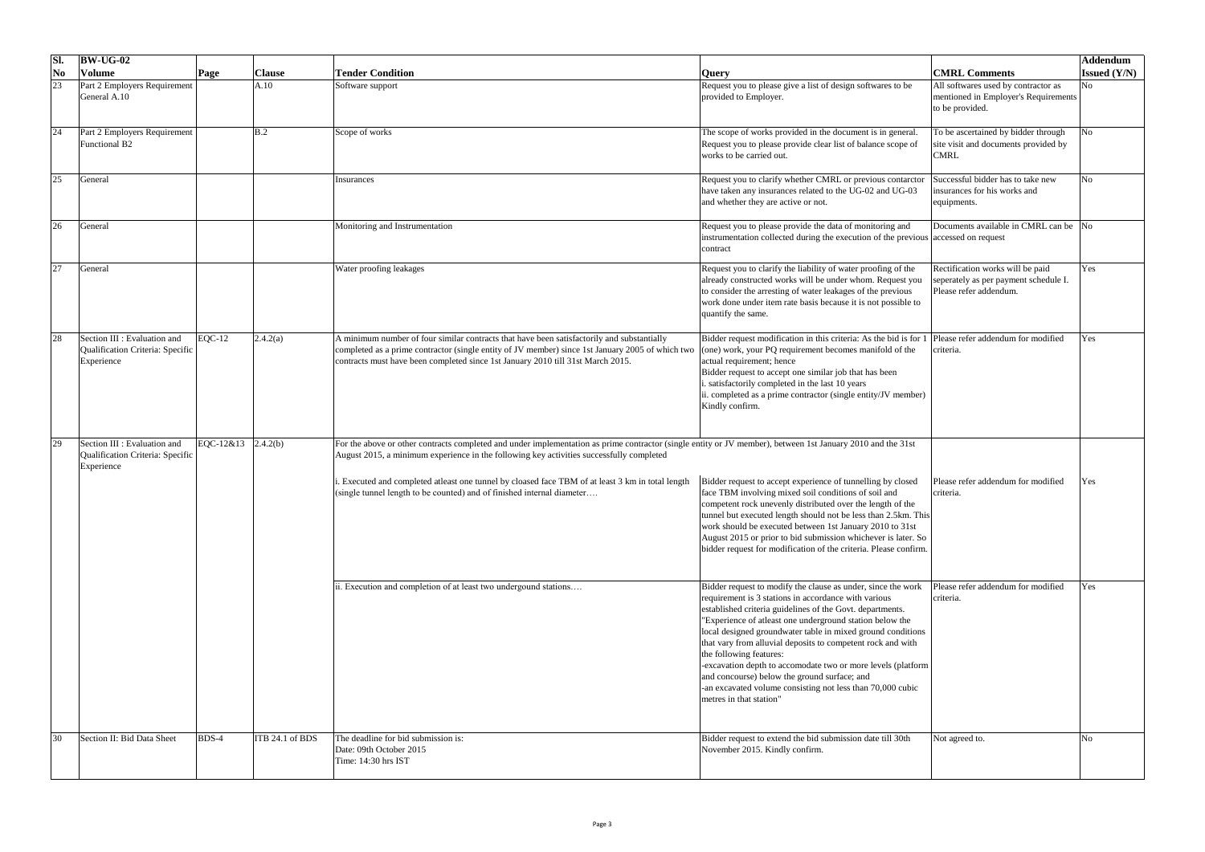| Sl.                                  | $\vert$ BW-UG-02                                                                              |                 |                                                                                                                                                                                                                                                                                   |                                                                                                                                                                                                                                                                                                                                                                                                                                                                                                                                                                                                                 |                                                                                                     | Addendum              |
|--------------------------------------|-----------------------------------------------------------------------------------------------|-----------------|-----------------------------------------------------------------------------------------------------------------------------------------------------------------------------------------------------------------------------------------------------------------------------------|-----------------------------------------------------------------------------------------------------------------------------------------------------------------------------------------------------------------------------------------------------------------------------------------------------------------------------------------------------------------------------------------------------------------------------------------------------------------------------------------------------------------------------------------------------------------------------------------------------------------|-----------------------------------------------------------------------------------------------------|-----------------------|
| $\overline{\textbf{N}}$ <sub>0</sub> | <b>Volume</b><br>Page                                                                         | <b>Clause</b>   | <b>Tender Condition</b>                                                                                                                                                                                                                                                           | <b>Query</b>                                                                                                                                                                                                                                                                                                                                                                                                                                                                                                                                                                                                    | <b>CMRL Comments</b>                                                                                | <b>Issued</b> $(Y/N)$ |
| 23                                   | <b>Part 2 Employers Requirement</b><br>General A.10                                           | A.10            | Software support                                                                                                                                                                                                                                                                  | Request you to please give a list of design softwares to be<br>provided to Employer.                                                                                                                                                                                                                                                                                                                                                                                                                                                                                                                            | All softwares used by contractor as<br>mentioned in Employer's Requirements<br>to be provided.      | No                    |
| 24                                   | <b>Part 2 Employers Requirement</b><br><b>Functional B2</b>                                   | B.2             | Scope of works                                                                                                                                                                                                                                                                    | The scope of works provided in the document is in general.<br>Request you to please provide clear list of balance scope of<br>works to be carried out.                                                                                                                                                                                                                                                                                                                                                                                                                                                          | To be ascertained by bidder through<br>site visit and documents provided by<br><b>CMRL</b>          | No                    |
| 25                                   | General                                                                                       |                 | Insurances                                                                                                                                                                                                                                                                        | Request you to clarify whether CMRL or previous contarctor<br>have taken any insurances related to the UG-02 and UG-03<br>and whether they are active or not.                                                                                                                                                                                                                                                                                                                                                                                                                                                   | Successful bidder has to take new<br>insurances for his works and<br>equipments.                    |                       |
| 26                                   | General                                                                                       |                 | Monitoring and Instrumentation                                                                                                                                                                                                                                                    | Request you to please provide the data of monitoring and<br>instrumentation collected during the execution of the previous accessed on request<br>contract                                                                                                                                                                                                                                                                                                                                                                                                                                                      | Documents available in CMRL can be No                                                               |                       |
| 27                                   | General                                                                                       |                 | Water proofing leakages                                                                                                                                                                                                                                                           | Request you to clarify the liability of water proofing of the<br>already constructed works will be under whom. Request you<br>to consider the arresting of water leakages of the previous<br>work done under item rate basis because it is not possible to<br>quantify the same.                                                                                                                                                                                                                                                                                                                                | Rectification works will be paid<br>seperately as per payment schedule I.<br>Please refer addendum. | Yes                   |
| 28                                   | $EQC-12$<br>Section III : Evaluation and<br>Qualification Criteria: Specific<br>Experience    | 2.4.2(a)        | A minimum number of four similar contracts that have been satisfactorily and substantially<br>completed as a prime contractor (single entity of JV member) since 1st January 2005 of which two<br>contracts must have been completed since 1st January 2010 till 31st March 2015. | Bidder request modification in this criteria: As the bid is for 1 Please refer addendum for modified<br>(one) work, your PQ requirement becomes manifold of the<br>actual requirement; hence<br>Bidder request to accept one similar job that has been<br>satisfactorily completed in the last 10 years<br>ii. completed as a prime contractor (single entity/JV member)<br>Kindly confirm.                                                                                                                                                                                                                     | criteria.                                                                                           | Yes                   |
| 29                                   | $EQC-12&13$<br>Section III : Evaluation and<br>Qualification Criteria: Specific<br>Experience | 2.4.2(b)        | For the above or other contracts completed and under implementation as prime contractor (single entity or JV member), between 1st January 2010 and the 31st<br>August 2015, a minimum experience in the following key activities successfully completed                           |                                                                                                                                                                                                                                                                                                                                                                                                                                                                                                                                                                                                                 |                                                                                                     |                       |
|                                      |                                                                                               |                 | . Executed and completed atleast one tunnel by cloased face TBM of at least 3 km in total length<br>(single tunnel length to be counted) and of finished internal diameter                                                                                                        | Bidder request to accept experience of tunnelling by closed<br>face TBM involving mixed soil conditions of soil and<br>competent rock unevenly distributed over the length of the<br>tunnel but executed length should not be less than 2.5km. This<br>work should be executed between 1st January 2010 to 31st<br>August 2015 or prior to bid submission whichever is later. So<br>bidder request for modification of the criteria. Please confirm.                                                                                                                                                            | Please refer addendum for modified<br>criteria.                                                     | Yes                   |
|                                      |                                                                                               |                 | Execution and completion of at least two undergound stations                                                                                                                                                                                                                      | Bidder request to modify the clause as under, since the work<br>requirement is 3 stations in accordance with various<br>established criteria guidelines of the Govt. departments.<br>"Experience of atleast one underground station below the<br>local designed groundwater table in mixed ground conditions<br>that vary from alluvial deposits to competent rock and with<br>the following features:<br>-excavation depth to accomodate two or more levels (platform<br>and concourse) below the ground surface; and<br>-an excavated volume consisting not less than 70,000 cubic<br>metres in that station" | Please refer addendum for modified<br>criteria.                                                     | Yes                   |
|                                      | BDS-4<br>Section II: Bid Data Sheet                                                           | ITB 24.1 of BDS | The deadline for bid submission is:<br>Date: 09th October 2015<br>Time: 14:30 hrs IST                                                                                                                                                                                             | Bidder request to extend the bid submission date till 30th<br>November 2015. Kindly confirm.                                                                                                                                                                                                                                                                                                                                                                                                                                                                                                                    | Not agreed to.                                                                                      |                       |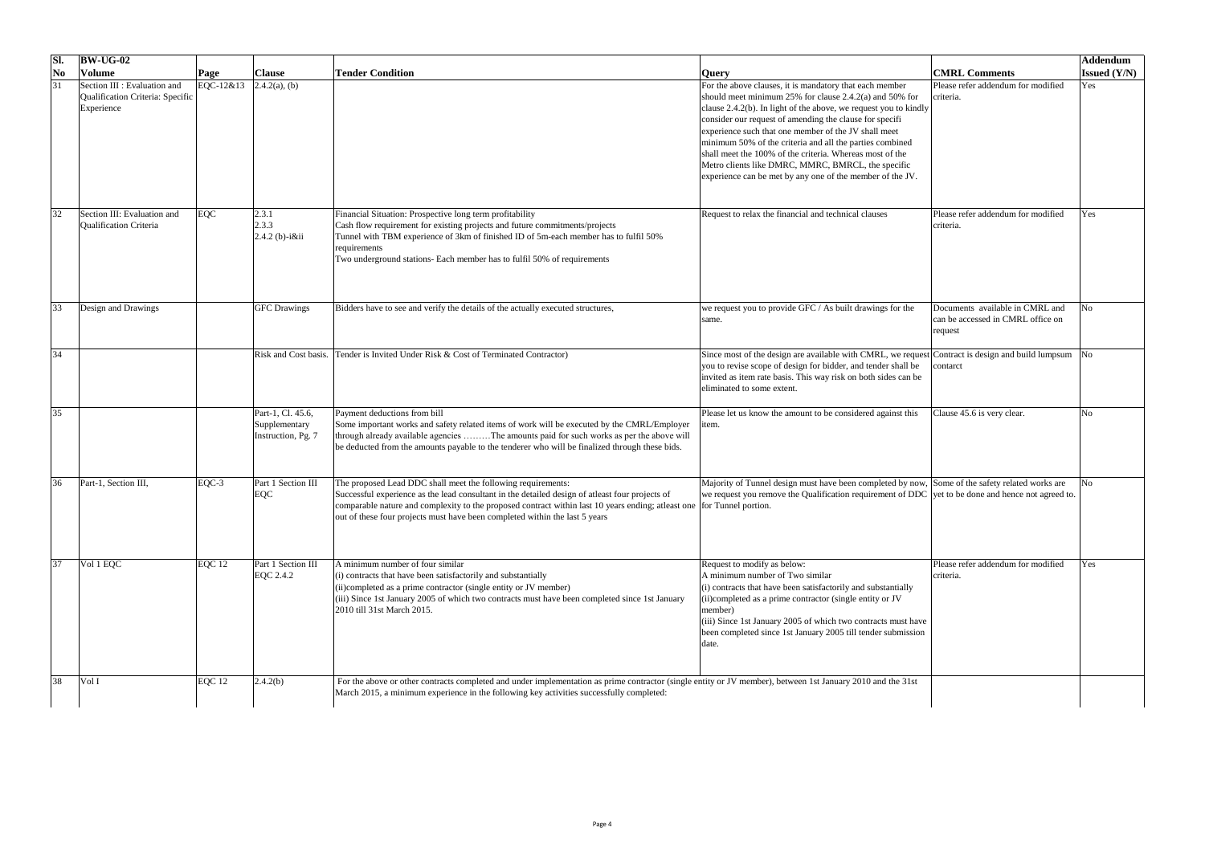|    | <b>BW-UG-02</b>                                                                |             |                                                          |                                                                                                                                                                                                                                                                                                                                                                          |                                                                                                                                                                                                                                                                                                                                                                                                                                                                                                                                                         |                                                                                 | Addendum               |
|----|--------------------------------------------------------------------------------|-------------|----------------------------------------------------------|--------------------------------------------------------------------------------------------------------------------------------------------------------------------------------------------------------------------------------------------------------------------------------------------------------------------------------------------------------------------------|---------------------------------------------------------------------------------------------------------------------------------------------------------------------------------------------------------------------------------------------------------------------------------------------------------------------------------------------------------------------------------------------------------------------------------------------------------------------------------------------------------------------------------------------------------|---------------------------------------------------------------------------------|------------------------|
| No | Volume                                                                         | Page        | <b>Clause</b>                                            | <b>Tender Condition</b>                                                                                                                                                                                                                                                                                                                                                  | <b>Query</b>                                                                                                                                                                                                                                                                                                                                                                                                                                                                                                                                            | <b>CMRL Comments</b>                                                            | <b>Issued</b> $(Y/N)$  |
|    | Section III : Evaluation and<br>Qualification Criteria: Specific<br>Experience | $EQC-12&13$ | $2.4.2(a)$ , (b)                                         |                                                                                                                                                                                                                                                                                                                                                                          | For the above clauses, it is mandatory that each member<br>should meet minimum $25\%$ for clause 2.4.2(a) and 50% for<br>clause 2.4.2(b). In light of the above, we request you to kindly<br>consider our request of amending the clause for specifi<br>experience such that one member of the JV shall meet<br>minimum 50% of the criteria and all the parties combined<br>shall meet the 100% of the criteria. Whereas most of the<br>Metro clients like DMRC, MMRC, BMRCL, the specific<br>experience can be met by any one of the member of the JV. | Please refer addendum for modified<br>criteria.                                 | Yes                    |
|    | Section III: Evaluation and<br><b>Qualification Criteria</b>                   | EQC         | 2.3.1<br> 2.3.3 <br>$[2.4.2 (b)-iⅈ]$                     | Financial Situation: Prospective long term profitability<br>Cash flow requirement for existing projects and future commitments/projects<br>Tunnel with TBM experience of 3km of finished ID of 5m-each member has to fulfil 50%<br>requirements<br>Two underground stations- Each member has to fulfil 50% of requirements                                               | Request to relax the financial and technical clauses                                                                                                                                                                                                                                                                                                                                                                                                                                                                                                    | Please refer addendum for modified<br>criteria.                                 | Yes                    |
|    | Design and Drawings                                                            |             | <b>GFC</b> Drawings                                      | Bidders have to see and verify the details of the actually executed structures,                                                                                                                                                                                                                                                                                          | we request you to provide GFC / As built drawings for the<br>Isame                                                                                                                                                                                                                                                                                                                                                                                                                                                                                      | Documents available in CMRL and<br>can be accessed in CMRL office on<br>request | $\overline{\text{No}}$ |
| 34 |                                                                                |             | Risk and Cost basis.                                     | Tender is Invited Under Risk & Cost of Terminated Contractor)                                                                                                                                                                                                                                                                                                            | Since most of the design are available with CMRL, we request Contract is design and build lumpsum No<br>you to revise scope of design for bidder, and tender shall be<br>invited as item rate basis. This way risk on both sides can be<br>eliminated to some extent.                                                                                                                                                                                                                                                                                   | contarct                                                                        |                        |
|    |                                                                                |             | Part-1, Cl. 45.6,<br>Supplementary<br>Instruction, Pg. 7 | Payment deductions from bill<br>Some important works and safety related items of work will be executed by the CMRL/Employer<br>through already available agencies The amounts paid for such works as per the above will<br>be deducted from the amounts payable to the tenderer who will be finalized through these bids.                                                | Please let us know the amount to be considered against this<br>item.                                                                                                                                                                                                                                                                                                                                                                                                                                                                                    | Clause 45.6 is very clear.                                                      | N <sub>o</sub>         |
|    | Part-1, Section III,                                                           | $EQC-3$     | Part 1 Section III<br>EQC                                | The proposed Lead DDC shall meet the following requirements:<br>Successful experience as the lead consultant in the detailed design of atleast four projects of<br>comparable nature and complexity to the proposed contract within last 10 years ending; atleast one for Tunnel portion.<br>out of these four projects must have been completed within the last 5 years | Majority of Tunnel design must have been completed by now, Some of the safety related works are<br>we request you remove the Qualification requirement of DDC yet to be done and hence not agreed to.                                                                                                                                                                                                                                                                                                                                                   |                                                                                 | N <sub>0</sub>         |
|    | Vol 1 EQC                                                                      | $EQC$ 12    | Part 1 Section III<br>EQC 2.4.2                          | A minimum number of four similar<br>$(i)$ contracts that have been satisfactorily and substantially<br>$(i)$ completed as a prime contractor (single entity or JV member)<br>$(iii)$ Since 1st January 2005 of which two contracts must have been completed since 1st January<br>2010 till 31st March 2015.                                                              | Request to modify as below:<br>A minimum number of Two similar<br>$(i)$ contracts that have been satisfactorily and substantially<br>(ii)completed as a prime contractor (single entity or JV<br>member)<br>$(iii)$ Since 1st January 2005 of which two contracts must have<br>been completed since 1st January 2005 till tender submission<br>date.                                                                                                                                                                                                    | Please refer addendum for modified<br>criteria.                                 | Yes                    |
| 38 | Vol I                                                                          | EQC 12      | 2.4.2(b)                                                 | For the above or other contracts completed and under implementation as prime contractor (single entity or JV member), between 1st January 2010 and the 31st<br>March 2015, a minimum experience in the following key activities successfully completed:                                                                                                                  |                                                                                                                                                                                                                                                                                                                                                                                                                                                                                                                                                         |                                                                                 |                        |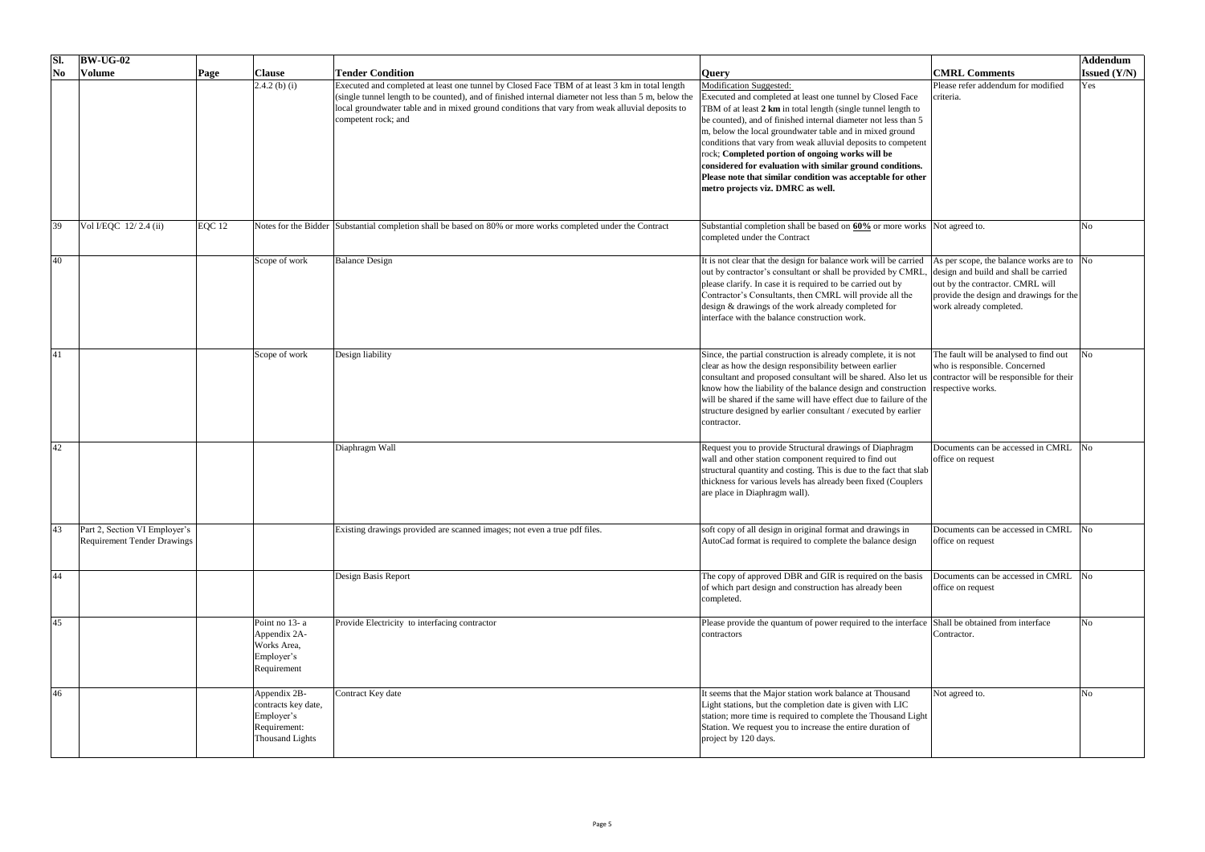| SI.            | $BW-UG-02$                                                          |          |                                                                                      |                                                                                                                                                                                                                                                                                                                                  |                                                                                                                                                                                                                                                                                                                                                                                                                                                                                                                                                                                  |                                                                                                                                                                                                        | Addendum              |
|----------------|---------------------------------------------------------------------|----------|--------------------------------------------------------------------------------------|----------------------------------------------------------------------------------------------------------------------------------------------------------------------------------------------------------------------------------------------------------------------------------------------------------------------------------|----------------------------------------------------------------------------------------------------------------------------------------------------------------------------------------------------------------------------------------------------------------------------------------------------------------------------------------------------------------------------------------------------------------------------------------------------------------------------------------------------------------------------------------------------------------------------------|--------------------------------------------------------------------------------------------------------------------------------------------------------------------------------------------------------|-----------------------|
| N <sub>o</sub> | <b>Volume</b>                                                       | Page     | <b>Clause</b>                                                                        | <b>Tender Condition</b>                                                                                                                                                                                                                                                                                                          | <b>Query</b>                                                                                                                                                                                                                                                                                                                                                                                                                                                                                                                                                                     | <b>CMRL Comments</b>                                                                                                                                                                                   | <b>Issued</b> $(Y/N)$ |
|                |                                                                     |          | $2.4.2$ (b) (i)                                                                      | Executed and completed at least one tunnel by Closed Face TBM of at least 3 km in total length<br>(single tunnel length to be counted), and of finished internal diameter not less than 5 m, below the<br>local groundwater table and in mixed ground conditions that vary from weak alluvial deposits to<br>competent rock; and | <b>Modification Suggested:</b><br>Executed and completed at least one tunnel by Closed Face<br>TBM of at least 2 km in total length (single tunnel length to<br>be counted), and of finished internal diameter not less than 5<br>m, below the local groundwater table and in mixed ground<br>conditions that vary from weak alluvial deposits to competent<br>rock; Completed portion of ongoing works will be<br>considered for evaluation with similar ground conditions.<br>Please note that similar condition was acceptable for other<br>metro projects viz. DMRC as well. | Please refer addendum for modified<br>criteria.                                                                                                                                                        | Yes                   |
| 39             | Vol I/EQC 12/2.4(ii)                                                | $EQC$ 12 |                                                                                      | Notes for the Bidder Substantial completion shall be based on 80% or more works completed under the Contract                                                                                                                                                                                                                     | Substantial completion shall be based on 60% or more works Not agreed to.<br>completed under the Contract                                                                                                                                                                                                                                                                                                                                                                                                                                                                        |                                                                                                                                                                                                        |                       |
| 40             |                                                                     |          | Scope of work                                                                        | <b>Balance Design</b>                                                                                                                                                                                                                                                                                                            | It is not clear that the design for balance work will be carried<br>out by contractor's consultant or shall be provided by CMRL<br>please clarify. In case it is required to be carried out by<br>Contractor's Consultants, then CMRL will provide all the<br>design & drawings of the work already completed for<br>interface with the balance construction work.                                                                                                                                                                                                               | As per scope, the balance works are to $\sqrt{N_Q}$<br>design and build and shall be carried<br>out by the contractor. CMRL will<br>provide the design and drawings for the<br>work already completed. |                       |
| 41             |                                                                     |          | Scope of work                                                                        | Design liability                                                                                                                                                                                                                                                                                                                 | Since, the partial construction is already complete, it is not<br>clear as how the design responsibility between earlier<br>consultant and proposed consultant will be shared. Also let us contractor will be responsible for their<br>know how the liability of the balance design and construction respective works.<br>will be shared if the same will have effect due to failure of the<br>structure designed by earlier consultant / executed by earlier<br>contractor.                                                                                                     | The fault will be analysed to find out<br>who is responsible. Concerned                                                                                                                                | No                    |
| 42             |                                                                     |          |                                                                                      | Diaphragm Wall                                                                                                                                                                                                                                                                                                                   | Request you to provide Structural drawings of Diaphragm<br>wall and other station component required to find out<br>structural quantity and costing. This is due to the fact that slab<br>thickness for various levels has already been fixed (Couplers<br>are place in Diaphragm wall).                                                                                                                                                                                                                                                                                         | Documents can be accessed in CMRL<br>office on request                                                                                                                                                 | No                    |
| 43             | Part 2, Section VI Employer's<br><b>Requirement Tender Drawings</b> |          |                                                                                      | Existing drawings provided are scanned images; not even a true pdf files.                                                                                                                                                                                                                                                        | soft copy of all design in original format and drawings in<br>AutoCad format is required to complete the balance design                                                                                                                                                                                                                                                                                                                                                                                                                                                          | Documents can be accessed in CMRL<br>office on request                                                                                                                                                 | N <sub>0</sub>        |
| 44             |                                                                     |          |                                                                                      | Design Basis Report                                                                                                                                                                                                                                                                                                              | The copy of approved DBR and GIR is required on the basis<br>of which part design and construction has already been<br>completed.                                                                                                                                                                                                                                                                                                                                                                                                                                                | Documents can be accessed in CMRL No<br>office on request                                                                                                                                              |                       |
| 45             |                                                                     |          | Point no $13$ - a<br>Appendix 2A-<br>Works Area,<br>Employer's<br>Requirement        | Provide Electricity to interfacing contractor                                                                                                                                                                                                                                                                                    | Please provide the quantum of power required to the interface Shall be obtained from interface<br>contractors                                                                                                                                                                                                                                                                                                                                                                                                                                                                    | Contractor.                                                                                                                                                                                            | No                    |
| 46             |                                                                     |          | Appendix 2B-<br>contracts key date,<br>Employer's<br>Requirement:<br>Thousand Lights | Contract Key date                                                                                                                                                                                                                                                                                                                | It seems that the Major station work balance at Thousand<br>Light stations, but the completion date is given with LIC<br>station; more time is required to complete the Thousand Light<br>Station. We request you to increase the entire duration of<br>project by 120 days.                                                                                                                                                                                                                                                                                                     | Not agreed to.                                                                                                                                                                                         | No                    |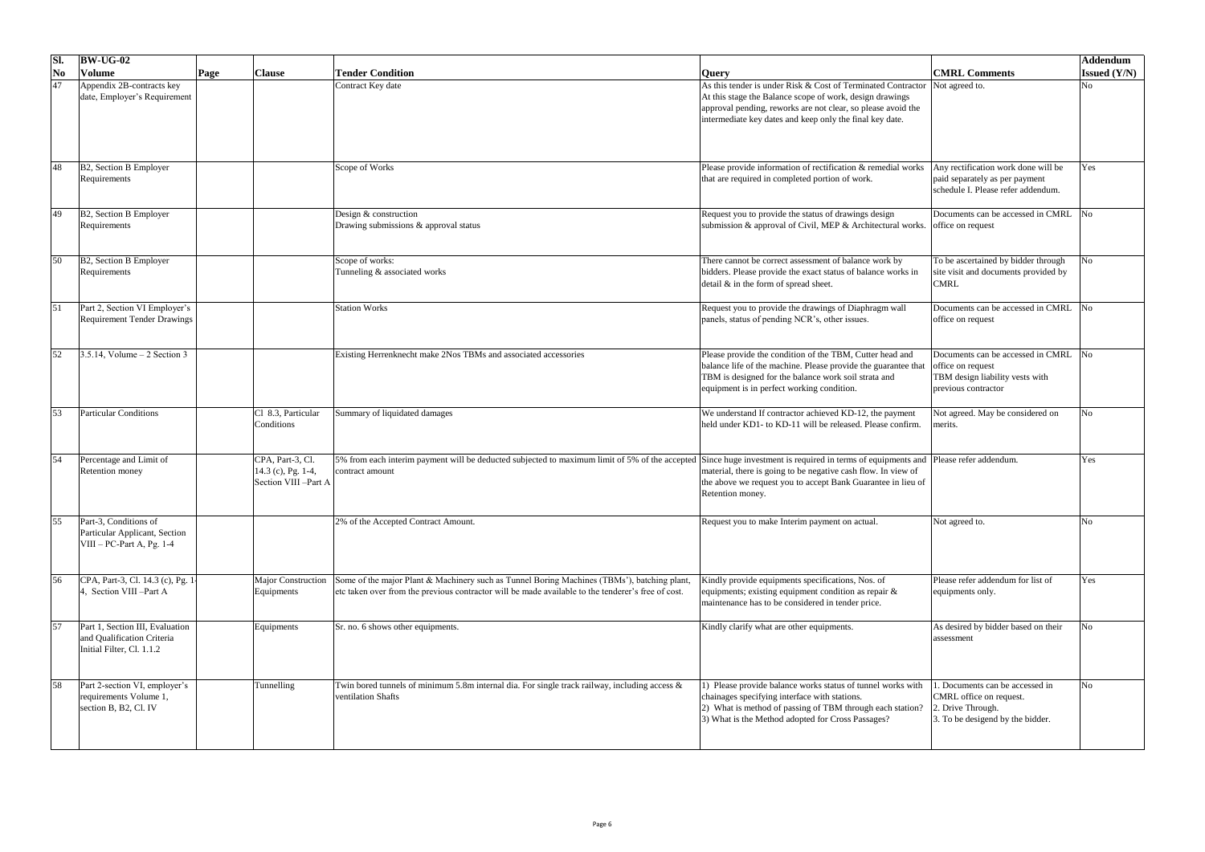| SI.                    | $\vert$ BW-UG-02                                                                           |              |                                                                   |                                                                                                                                                                                                   |                                                                                                                                                                                                                                                                       |                                                                                                                         | Addendum               |
|------------------------|--------------------------------------------------------------------------------------------|--------------|-------------------------------------------------------------------|---------------------------------------------------------------------------------------------------------------------------------------------------------------------------------------------------|-----------------------------------------------------------------------------------------------------------------------------------------------------------------------------------------------------------------------------------------------------------------------|-------------------------------------------------------------------------------------------------------------------------|------------------------|
| $\mathbf{N}\mathbf{0}$ | <b>Volume</b>                                                                              | $\vert$ Page | <b>Clause</b>                                                     | <b>Tender Condition</b>                                                                                                                                                                           | <b>Query</b>                                                                                                                                                                                                                                                          | <b>CMRL Comments</b>                                                                                                    | <b>Issued</b> (Y/N)    |
| 47                     | Appendix 2B-contracts key<br>date, Employer's Requirement                                  |              |                                                                   | Contract Key date                                                                                                                                                                                 | As this tender is under Risk $& Cost$ of Terminated Contractor Not agreed to.<br>At this stage the Balance scope of work, design drawings<br>approval pending, reworks are not clear, so please avoid the<br>intermediate key dates and keep only the final key date. |                                                                                                                         | <b>No</b>              |
| 48                     | B2, Section B Employer<br>Requirements                                                     |              |                                                                   | Scope of Works                                                                                                                                                                                    | Please provide information of rectification & remedial works<br>that are required in completed portion of work.                                                                                                                                                       | Any rectification work done will be<br>paid separately as per payment<br>schedule I. Please refer addendum.             | Yes                    |
| 49                     | B2, Section B Employer<br>Requirements                                                     |              |                                                                   | Design & construction<br>Drawing submissions & approval status                                                                                                                                    | Request you to provide the status of drawings design<br>submission & approval of Civil, MEP & Architectural works.                                                                                                                                                    | Documents can be accessed in CMRL<br>office on request                                                                  | $\overline{\text{No}}$ |
| 50                     | B2, Section B Employer<br>Requirements                                                     |              |                                                                   | Scope of works:<br>Tunneling & associated works                                                                                                                                                   | There cannot be correct assessment of balance work by<br>bidders. Please provide the exact status of balance works in<br>detail $\&$ in the form of spread sheet.                                                                                                     | To be ascertained by bidder through<br>site visit and documents provided by<br><b>CMRL</b>                              | No                     |
| $\vert 51 \vert$       | Part 2, Section VI Employer's<br><b>Requirement Tender Drawings</b>                        |              |                                                                   | <b>Station Works</b>                                                                                                                                                                              | Request you to provide the drawings of Diaphragm wall<br>panels, status of pending NCR's, other issues.                                                                                                                                                               | Documents can be accessed in CMRL<br>office on request                                                                  | $\overline{\text{No}}$ |
| 52                     | $3.5.14$ , Volume – 2 Section 3                                                            |              |                                                                   | Existing Herrenknecht make 2Nos TBMs and associated accessories                                                                                                                                   | Please provide the condition of the TBM, Cutter head and<br>balance life of the machine. Please provide the guarantee that<br>TBM is designed for the balance work soil strata and<br>equipment is in perfect working condition.                                      | Documents can be accessed in CMRL<br>office on request<br><b>TBM</b> design liability vests with<br>previous contractor | N <sub>0</sub>         |
| 53                     | <b>Particular Conditions</b>                                                               |              | Cl 8.3, Particular<br>Conditions                                  | Summary of liquidated damages                                                                                                                                                                     | We understand If contractor achieved KD-12, the payment<br>held under KD1- to KD-11 will be released. Please confirm.                                                                                                                                                 | Not agreed. May be considered on<br>merits.                                                                             | <b>No</b>              |
| 54                     | Percentage and Limit of<br><b>Retention money</b>                                          |              | CPA, Part-3, Cl.<br>$14.3$ (c), Pg. 1-4,<br>Section VIII - Part A | 5% from each interim payment will be deducted subjected to maximum limit of 5% of the accepted<br>contract amount                                                                                 | Since huge investment is required in terms of equipments and Please refer addendum.<br>material, there is going to be negative cash flow. In view of<br>the above we request you to accept Bank Guarantee in lieu of<br>Retention money.                              |                                                                                                                         | Yes                    |
| 55                     | Part-3, Conditions of<br>Particular Applicant, Section<br>$VIII - PC-Part A, Pg. 1-4$      |              |                                                                   | 2% of the Accepted Contract Amount.                                                                                                                                                               | Request you to make Interim payment on actual.                                                                                                                                                                                                                        | Not agreed to.                                                                                                          | N <sub>0</sub>         |
| 56                     | CPA, Part-3, Cl. 14.3 (c), Pg. 1.<br>Section VIII -Part A                                  |              | <b>Major Construction</b><br>Equipments                           | Some of the major Plant & Machinery such as Tunnel Boring Machines (TBMs'), batching plant,<br>etc taken over from the previous contractor will be made available to the tenderer's free of cost. | Kindly provide equipments specifications, Nos. of<br>equipments; existing equipment condition as repair &<br>maintenance has to be considered in tender price.                                                                                                        | Please refer addendum for list of<br>equipments only.                                                                   | Yes                    |
| 57                     | Part 1, Section III, Evaluation<br>and Qualification Criteria<br>Initial Filter, Cl. 1.1.2 |              | Equipments                                                        | Sr. no. 6 shows other equipments.                                                                                                                                                                 | Kindly clarify what are other equipments.                                                                                                                                                                                                                             | As desired by bidder based on their<br>assessment                                                                       | N <sub>0</sub>         |
| 58                     | Part 2-section VI, employer's<br>requirements Volume 1,<br>section B, B2, Cl. IV           |              | Tunnelling                                                        | Twin bored tunnels of minimum 5.8m internal dia. For single track railway, including access $\&$<br>ventilation Shafts                                                                            | ) Please provide balance works status of tunnel works with<br>chainages specifying interface with stations.<br>2) What is method of passing of TBM through each station?<br>3) What is the Method adopted for Cross Passages?                                         | . Documents can be accessed in<br>CMRL office on request.<br>2. Drive Through.<br>3. To be desigend by the bidder.      | N <sub>0</sub>         |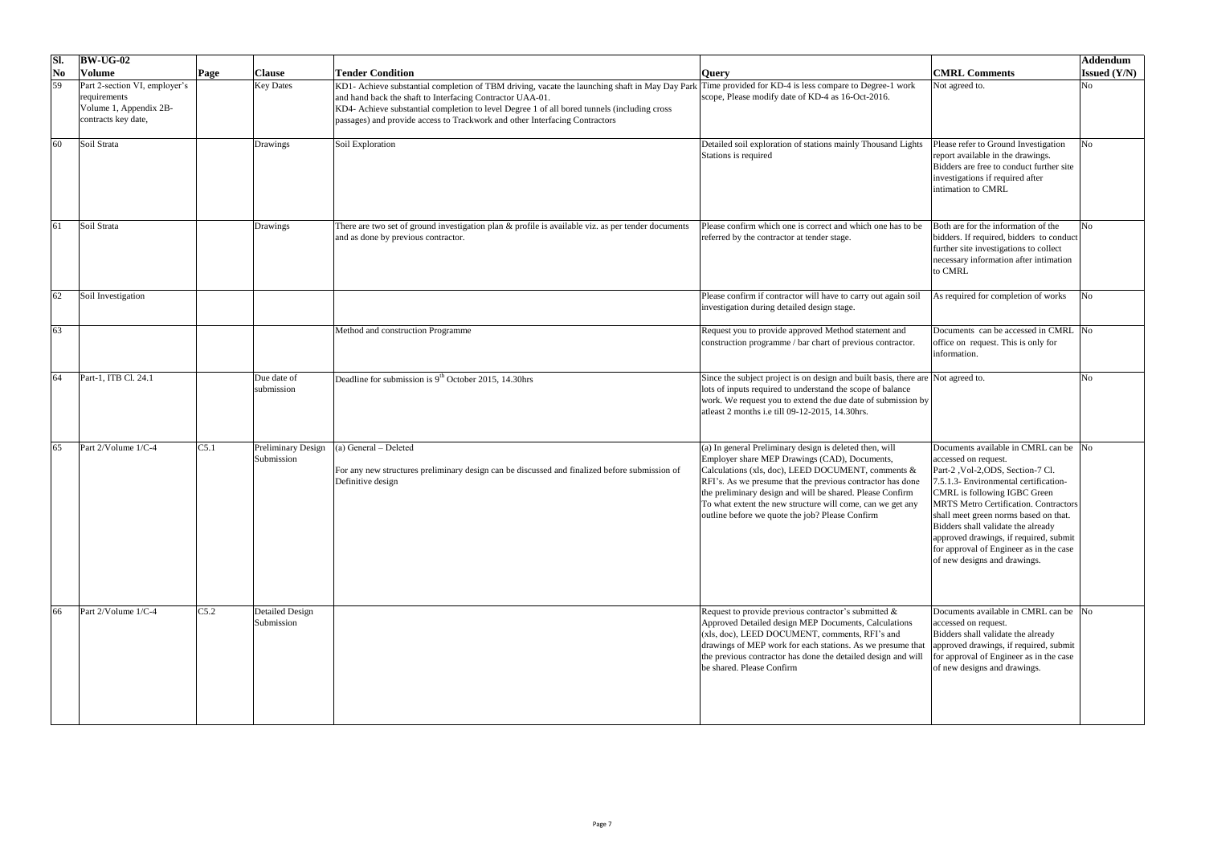| SI.            | $ BW-UG-02 $                                                                                   |              |                                         |                                                                                                                                                                                                                                                                                                                                           |                                                                                                                                                                                                                                                                                                                                                                                                            |                                                                                                                                                                                                                                                                                                                                                                                                                                  | Addendum              |
|----------------|------------------------------------------------------------------------------------------------|--------------|-----------------------------------------|-------------------------------------------------------------------------------------------------------------------------------------------------------------------------------------------------------------------------------------------------------------------------------------------------------------------------------------------|------------------------------------------------------------------------------------------------------------------------------------------------------------------------------------------------------------------------------------------------------------------------------------------------------------------------------------------------------------------------------------------------------------|----------------------------------------------------------------------------------------------------------------------------------------------------------------------------------------------------------------------------------------------------------------------------------------------------------------------------------------------------------------------------------------------------------------------------------|-----------------------|
| N <sub>0</sub> | <b>Volume</b>                                                                                  | $\vert$ Page | <b>Clause</b>                           | <b>Tender Condition</b>                                                                                                                                                                                                                                                                                                                   | <b>Query</b>                                                                                                                                                                                                                                                                                                                                                                                               | <b>CMRL Comments</b>                                                                                                                                                                                                                                                                                                                                                                                                             | <b>Issued</b> $(Y/N)$ |
| 59             | Part 2-section VI, employer's<br>requirements<br>Volume 1, Appendix 2B-<br>contracts key date, |              | <b>Key Dates</b>                        | KD1- Achieve substantial completion of TBM driving, vacate the launching shaft in May Day Park<br>and hand back the shaft to Interfacing Contractor UAA-01.<br>KD4- Achieve substantial completion to level Degree 1 of all bored tunnels (including cross<br>passages) and provide access to Trackwork and other Interfacing Contractors | Time provided for KD-4 is less compare to Degree-1 work<br>scope, Please modify date of KD-4 as 16-Oct-2016.                                                                                                                                                                                                                                                                                               | Not agreed to.                                                                                                                                                                                                                                                                                                                                                                                                                   | No                    |
| 60             | Soil Strata                                                                                    |              | <b>Drawings</b>                         | Soil Exploration                                                                                                                                                                                                                                                                                                                          | Detailed soil exploration of stations mainly Thousand Lights<br>Stations is required                                                                                                                                                                                                                                                                                                                       | Please refer to Ground Investigation<br>report available in the drawings.<br>Bidders are free to conduct further site<br>investigations if required after<br>intimation to CMRL                                                                                                                                                                                                                                                  | No                    |
|                | Soil Strata                                                                                    |              | Drawings                                | There are two set of ground investigation plan & profile is available viz. as per tender documents<br>and as done by previous contractor.                                                                                                                                                                                                 | Please confirm which one is correct and which one has to be<br>referred by the contractor at tender stage.                                                                                                                                                                                                                                                                                                 | Both are for the information of the<br>bidders. If required, bidders to conduct<br>further site investigations to collect<br>necessary information after intimation<br>to CMRL                                                                                                                                                                                                                                                   |                       |
| 62             | Soil Investigation                                                                             |              |                                         |                                                                                                                                                                                                                                                                                                                                           | Please confirm if contractor will have to carry out again soil<br>investigation during detailed design stage.                                                                                                                                                                                                                                                                                              | As required for completion of works                                                                                                                                                                                                                                                                                                                                                                                              | No                    |
| 63             |                                                                                                |              |                                         | Method and construction Programme                                                                                                                                                                                                                                                                                                         | Request you to provide approved Method statement and<br>construction programme / bar chart of previous contractor.                                                                                                                                                                                                                                                                                         | Documents can be accessed in CMRL No<br>office on request. This is only for<br>information.                                                                                                                                                                                                                                                                                                                                      |                       |
| 64             | Part-1, ITB Cl. 24.1                                                                           |              | Due date of<br>submission               | Deadline for submission is $9th$ October 2015, 14.30hrs                                                                                                                                                                                                                                                                                   | Since the subject project is on design and built basis, there are Not agreed to.<br>lots of inputs required to understand the scope of balance<br>work. We request you to extend the due date of submission by<br>at least 2 months i.e till 09-12-2015, 14.30 hrs.                                                                                                                                        |                                                                                                                                                                                                                                                                                                                                                                                                                                  |                       |
| 65             | Part $2$ /Volume $1/C-4$                                                                       | C5.1         | <b>Preliminary Design</b><br>Submission | (a) General - Deleted<br>For any new structures preliminary design can be discussed and finalized before submission of<br>Definitive design                                                                                                                                                                                               | (a) In general Preliminary design is deleted then, will<br>Employer share MEP Drawings (CAD), Documents,<br>Calculations (xls, doc), LEED DOCUMENT, comments &<br>RFI's. As we presume that the previous contractor has done<br>the preliminary design and will be shared. Please Confirm<br>To what extent the new structure will come, can we get any<br>outline before we quote the job? Please Confirm | Documents available in CMRL can be  No<br>accessed on request.<br>Part-2, Vol-2, ODS, Section-7 Cl.<br>7.5.1.3- Environmental certification-<br>CMRL is following IGBC Green<br><b>MRTS Metro Certification. Contractors</b><br>shall meet green norms based on that.<br>Bidders shall validate the already<br>approved drawings, if required, submit<br>for approval of Engineer as in the case<br>of new designs and drawings. |                       |
| 66             | $Part 2/Volume 1/C-4$                                                                          | C5.2         | <b>Detailed Design</b><br>Submission    |                                                                                                                                                                                                                                                                                                                                           | Request to provide previous contractor's submitted $\&$<br>Approved Detailed design MEP Documents, Calculations<br>$(xls, doc)$ , LEED DOCUMENT, comments, RFI's and<br>drawings of MEP work for each stations. As we presume that  approved drawings, if required, submit<br>the previous contractor has done the detailed design and will<br>be shared. Please Confirm                                   | Documents available in CMRL can be No<br>accessed on request.<br>Bidders shall validate the already<br>for approval of Engineer as in the case<br>of new designs and drawings.                                                                                                                                                                                                                                                   |                       |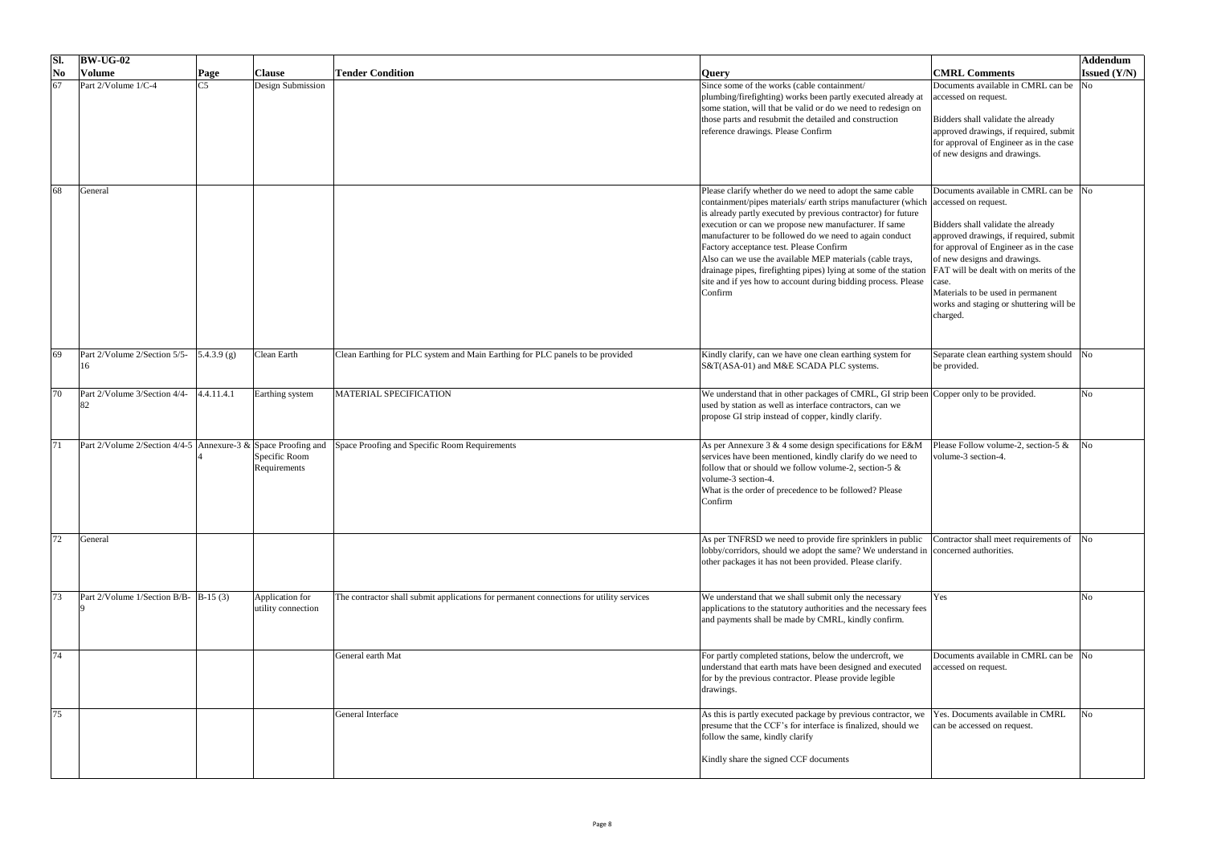| SI.                      | $\vert$ BW-UG-02                                                 |                |                                       |                                                                                         |                                                                                                                                                                                                                                                                                                                                                                                                                                                                                                                                                                                              |                                                                                                                                                                                                                                                                                                                                                         | Addendum              |
|--------------------------|------------------------------------------------------------------|----------------|---------------------------------------|-----------------------------------------------------------------------------------------|----------------------------------------------------------------------------------------------------------------------------------------------------------------------------------------------------------------------------------------------------------------------------------------------------------------------------------------------------------------------------------------------------------------------------------------------------------------------------------------------------------------------------------------------------------------------------------------------|---------------------------------------------------------------------------------------------------------------------------------------------------------------------------------------------------------------------------------------------------------------------------------------------------------------------------------------------------------|-----------------------|
| $\overline{\textbf{No}}$ | <b>Volume</b>                                                    | $\vert$ Page   | <b>Clause</b>                         | <b>Tender Condition</b>                                                                 | <b>Query</b>                                                                                                                                                                                                                                                                                                                                                                                                                                                                                                                                                                                 | <b>CMRL Comments</b>                                                                                                                                                                                                                                                                                                                                    | <b>Issued</b> $(Y/N)$ |
| 67                       | Part 2/Volume 1/C-4                                              | C <sub>5</sub> | Design Submission                     |                                                                                         | Since some of the works (cable containment/<br>plumbing/firefighting) works been partly executed already at<br>some station, will that be valid or do we need to redesign on<br>those parts and resubmit the detailed and construction<br>reference drawings. Please Confirm                                                                                                                                                                                                                                                                                                                 | Documents available in CMRL can be<br>accessed on request.<br>Bidders shall validate the already<br>approved drawings, if required, submit<br>for approval of Engineer as in the case<br>of new designs and drawings.                                                                                                                                   | No                    |
| 68                       | General                                                          |                |                                       |                                                                                         | Please clarify whether do we need to adopt the same cable<br>containment/pipes materials/ earth strips manufacturer (which accessed on request.<br>is already partly executed by previous contractor) for future<br>execution or can we propose new manufacturer. If same<br>manufacturer to be followed do we need to again conduct<br>Factory acceptance test. Please Confirm<br>Also can we use the available MEP materials (cable trays,<br>drainage pipes, firefighting pipes) lying at some of the station<br>site and if yes how to account during bidding process. Please<br>Confirm | Documents available in CMRL can be No<br>Bidders shall validate the already<br>approved drawings, if required, submit<br>for approval of Engineer as in the case<br>of new designs and drawings.<br><b>FAT</b> will be dealt with on merits of the<br>case.<br>Materials to be used in permanent<br>works and staging or shuttering will be<br>charged. |                       |
| 69                       | Part 2/Volume 2/Section 5/5-                                     | $5.4.3.9$ (g)  | <b>Clean Earth</b>                    | Clean Earthing for PLC system and Main Earthing for PLC panels to be provided           | Kindly clarify, can we have one clean earthing system for<br>S&T(ASA-01) and M&E SCADA PLC systems.                                                                                                                                                                                                                                                                                                                                                                                                                                                                                          | Separate clean earthing system should No<br>be provided.                                                                                                                                                                                                                                                                                                |                       |
| 70                       | Part 2/Volume 3/Section 4/4-<br>182                              | [4.4.11.4.1]   | Earthing system                       | MATERIAL SPECIFICATION                                                                  | We understand that in other packages of CMRL, GI strip been Copper only to be provided.<br>used by station as well as interface contractors, can we<br>propose GI strip instead of copper, kindly clarify.                                                                                                                                                                                                                                                                                                                                                                                   |                                                                                                                                                                                                                                                                                                                                                         | No                    |
|                          | Part 2/Volume 2/Section 4/4-5 Annexure-3 $\&$ Space Proofing and |                | Specific Room<br>Requirements         | Space Proofing and Specific Room Requirements                                           | As per Annexure $3 \& 4$ some design specifications for E&M<br>services have been mentioned, kindly clarify do we need to<br>follow that or should we follow volume-2, section-5 $\&$<br>volume-3 section-4.<br>What is the order of precedence to be followed? Please<br>Confirm                                                                                                                                                                                                                                                                                                            | Please Follow volume-2, section-5 $\&$<br>volume-3 section-4.                                                                                                                                                                                                                                                                                           | No                    |
| 72                       | General                                                          |                |                                       |                                                                                         | As per TNFRSD we need to provide fire sprinklers in public<br>lobby/corridors, should we adopt the same? We understand in concerned authorities.<br>other packages it has not been provided. Please clarify.                                                                                                                                                                                                                                                                                                                                                                                 | Contractor shall meet requirements of No                                                                                                                                                                                                                                                                                                                |                       |
|                          | Part 2/Volume 1/Section B/B- $ B-15(3) $                         |                | Application for<br>utility connection | The contractor shall submit applications for permanent connections for utility services | We understand that we shall submit only the necessary<br>applications to the statutory authorities and the necessary fees<br>and payments shall be made by CMRL, kindly confirm.                                                                                                                                                                                                                                                                                                                                                                                                             | Yes                                                                                                                                                                                                                                                                                                                                                     | No                    |
| 74                       |                                                                  |                |                                       | General earth Mat                                                                       | For partly completed stations, below the undercroft, we<br>understand that earth mats have been designed and executed<br>for by the previous contractor. Please provide legible<br>drawings.                                                                                                                                                                                                                                                                                                                                                                                                 | Documents available in CMRL can be No<br>accessed on request.                                                                                                                                                                                                                                                                                           |                       |
|                          |                                                                  |                |                                       | General Interface                                                                       | As this is partly executed package by previous contractor, we<br>presume that the CCF's for interface is finalized, should we<br>follow the same, kindly clarify<br>Kindly share the signed CCF documents                                                                                                                                                                                                                                                                                                                                                                                    | Yes. Documents available in CMRL<br>can be accessed on request.                                                                                                                                                                                                                                                                                         | No                    |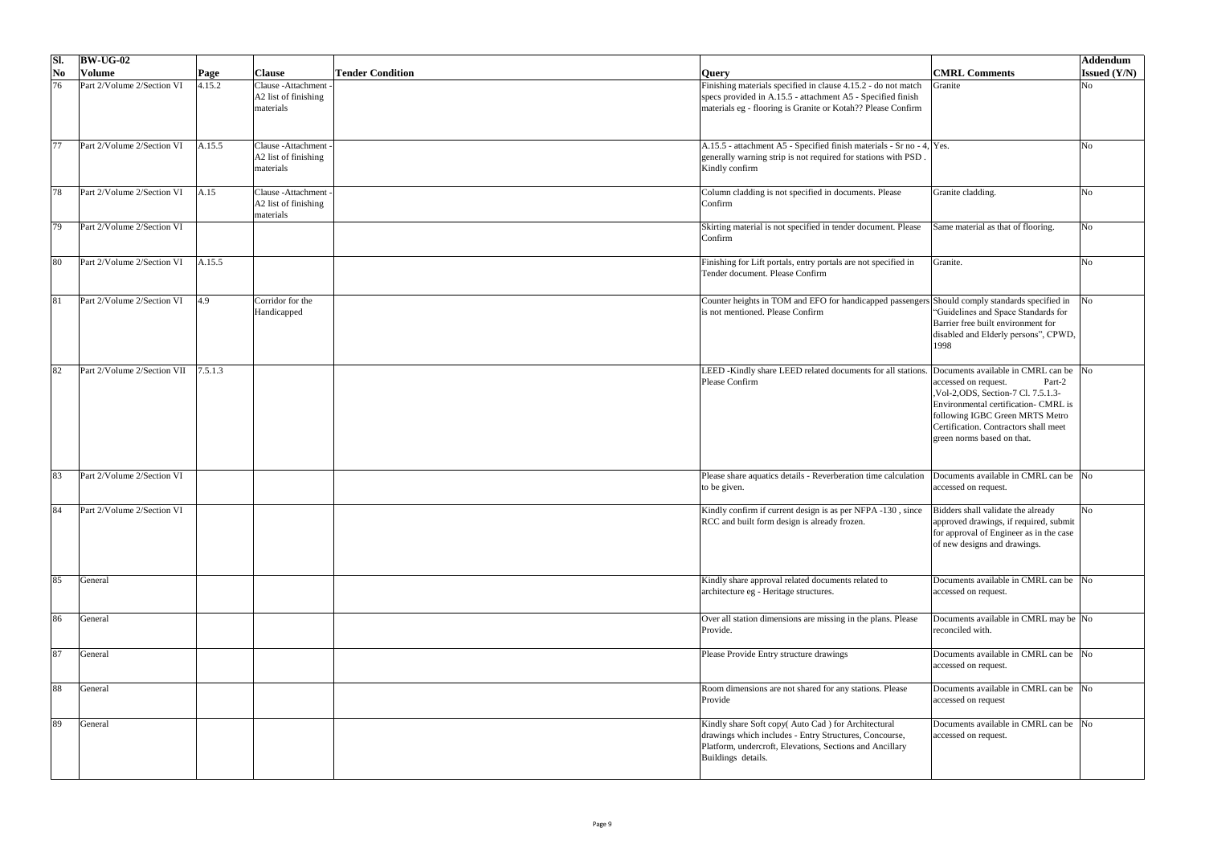| SI.                      | $\vert$ BW-UG-02            |              |                                                                    |                         |                                                                                                                                                                                                |                                                                                                                                                                                                                                                                   | Addendum              |
|--------------------------|-----------------------------|--------------|--------------------------------------------------------------------|-------------------------|------------------------------------------------------------------------------------------------------------------------------------------------------------------------------------------------|-------------------------------------------------------------------------------------------------------------------------------------------------------------------------------------------------------------------------------------------------------------------|-----------------------|
| $\overline{\textbf{No}}$ | <b>Volume</b>               | $\vert$ Page | <b>Clause</b>                                                      | <b>Tender Condition</b> | <b>Query</b>                                                                                                                                                                                   | <b>CMRL Comments</b>                                                                                                                                                                                                                                              | <b>Issued</b> $(Y/N)$ |
| 76                       | Part 2/Volume 2/Section VI  | 4.15.2       | Clause - Attachment<br>A2 list of finishing<br>materials           |                         | Finishing materials specified in clause 4.15.2 - do not match<br>specs provided in A.15.5 - attachment A5 - Specified finish<br>materials eg - flooring is Granite or Kotah?? Please Confirm   | Granite                                                                                                                                                                                                                                                           | N <sub>o</sub>        |
| 77                       | Part 2/Volume 2/Section VI  | A.15.5       | Clause - Attachment<br>$\vert$ A2 list of finishing<br>materials   |                         | A.15.5 - attachment A5 - Specified finish materials - Sr no - 4, Yes.<br>generally warning strip is not required for stations with PSD.<br>Kindly confirm                                      |                                                                                                                                                                                                                                                                   |                       |
| 78                       | Part 2/Volume 2/Section VI  | A.15         | Clause - Attachment -<br>$\vert$ A2 list of finishing<br>materials |                         | Column cladding is not specified in documents. Please<br>Confirm                                                                                                                               | Granite cladding.                                                                                                                                                                                                                                                 |                       |
| 79                       | Part 2/Volume 2/Section VI  |              |                                                                    |                         | Skirting material is not specified in tender document. Please<br>Confirm                                                                                                                       | Same material as that of flooring.                                                                                                                                                                                                                                | Nο                    |
| 80                       | Part 2/Volume 2/Section VI  | A.15.5       |                                                                    |                         | Finishing for Lift portals, entry portals are not specified in<br>Tender document. Please Confirm                                                                                              | Granite.                                                                                                                                                                                                                                                          |                       |
| 81                       | Part 2/Volume 2/Section VI  | 4.9          | Corridor for the<br>Handicapped                                    |                         | Counter heights in TOM and EFO for handicapped passengers Should comply standards specified in<br>is not mentioned. Please Confirm                                                             | "Guidelines and Space Standards for<br>Barrier free built environment for<br>disabled and Elderly persons", CPWD,<br> 1998                                                                                                                                        |                       |
| 82                       | Part 2/Volume 2/Section VII | 7.5.1.3      |                                                                    |                         | LEED -Kindly share LEED related documents for all stations.<br>Please Confirm                                                                                                                  | Documents available in CMRL can be No<br>Part-2<br>accessed on request.<br>, Vol-2, ODS, Section-7 Cl. 7.5.1.3-<br>Environmental certification- CMRL is<br>following IGBC Green MRTS Metro<br>Certification. Contractors shall meet<br>green norms based on that. |                       |
| 83                       | Part 2/Volume 2/Section VI  |              |                                                                    |                         | Please share aquatics details - Reverberation time calculation<br>to be given.                                                                                                                 | Documents available in CMRL can be No<br>accessed on request.                                                                                                                                                                                                     |                       |
| 84                       | Part 2/Volume 2/Section VI  |              |                                                                    |                         | Kindly confirm if current design is as per NFPA -130, since<br>RCC and built form design is already frozen.                                                                                    | Bidders shall validate the already<br>approved drawings, if required, submit<br>for approval of Engineer as in the case<br>of new designs and drawings.                                                                                                           | No                    |
| 85                       | General                     |              |                                                                    |                         | Kindly share approval related documents related to<br>architecture eg - Heritage structures.                                                                                                   | Documents available in CMRL can be No<br>accessed on request.                                                                                                                                                                                                     |                       |
| 86                       | General                     |              |                                                                    |                         | Over all station dimensions are missing in the plans. Please<br>Provide.                                                                                                                       | Documents available in CMRL may be No<br>reconciled with.                                                                                                                                                                                                         |                       |
| 87                       | General                     |              |                                                                    |                         | Please Provide Entry structure drawings                                                                                                                                                        | Documents available in CMRL can be No<br>accessed on request.                                                                                                                                                                                                     |                       |
| 88                       | General                     |              |                                                                    |                         | Room dimensions are not shared for any stations. Please<br>Provide                                                                                                                             | Documents available in CMRL can be No<br>accessed on request                                                                                                                                                                                                      |                       |
| 89                       | General                     |              |                                                                    |                         | Kindly share Soft copy(Auto Cad) for Architectural<br>drawings which includes - Entry Structures, Concourse,<br>Platform, undercroft, Elevations, Sections and Ancillary<br>Buildings details. | Documents available in CMRL can be No<br>accessed on request.                                                                                                                                                                                                     |                       |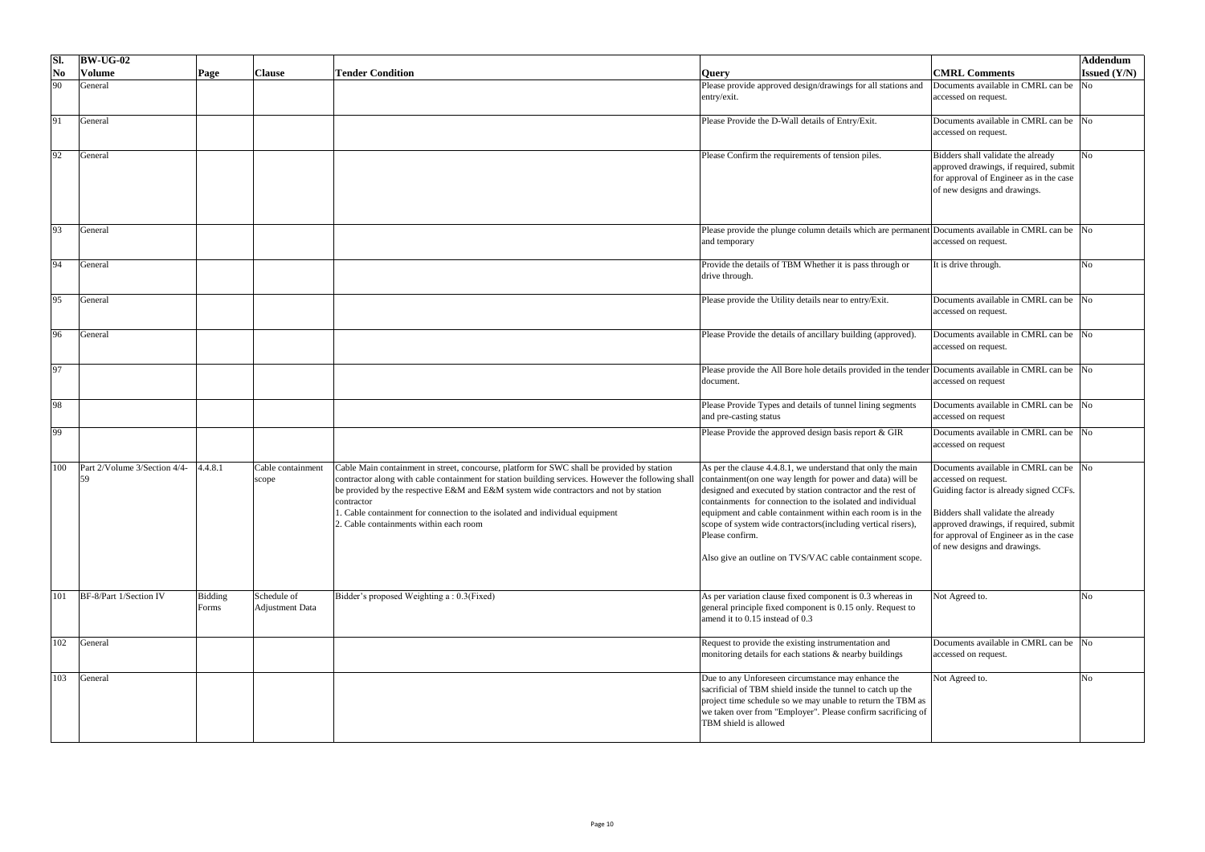| SI.                       | $ BW-UG-02 $                 |                  |                                |                                                                                                                                                                                                                                                                                                                                                                                                                                  |                                                                                                                                                                                                                                                                                                                                                                                                                                                                    |                                                                                                                                                                                                                                                                    | <b>Addendum</b>     |
|---------------------------|------------------------------|------------------|--------------------------------|----------------------------------------------------------------------------------------------------------------------------------------------------------------------------------------------------------------------------------------------------------------------------------------------------------------------------------------------------------------------------------------------------------------------------------|--------------------------------------------------------------------------------------------------------------------------------------------------------------------------------------------------------------------------------------------------------------------------------------------------------------------------------------------------------------------------------------------------------------------------------------------------------------------|--------------------------------------------------------------------------------------------------------------------------------------------------------------------------------------------------------------------------------------------------------------------|---------------------|
| $\overline{\textbf{N}}$ o | <b>Volume</b>                | $\vert$ Page     | <b>Clause</b>                  | <b>Tender Condition</b>                                                                                                                                                                                                                                                                                                                                                                                                          | <b>Query</b>                                                                                                                                                                                                                                                                                                                                                                                                                                                       | <b>CMRL Comments</b>                                                                                                                                                                                                                                               | <b>Issued (Y/N)</b> |
| 90                        | General                      |                  |                                |                                                                                                                                                                                                                                                                                                                                                                                                                                  | Please provide approved design/drawings for all stations and<br>entry/exit.                                                                                                                                                                                                                                                                                                                                                                                        | Documents available in CMRL can be<br>accessed on request.                                                                                                                                                                                                         | N <sub>o</sub>      |
| 91                        | General                      |                  |                                |                                                                                                                                                                                                                                                                                                                                                                                                                                  | Please Provide the D-Wall details of Entry/Exit.                                                                                                                                                                                                                                                                                                                                                                                                                   | Documents available in CMRL can be No<br>accessed on request.                                                                                                                                                                                                      |                     |
| 92                        | General                      |                  |                                |                                                                                                                                                                                                                                                                                                                                                                                                                                  | Please Confirm the requirements of tension piles.                                                                                                                                                                                                                                                                                                                                                                                                                  | Bidders shall validate the already<br>approved drawings, if required, submit<br>for approval of Engineer as in the case<br>of new designs and drawings.                                                                                                            | No                  |
| 93                        | General                      |                  |                                |                                                                                                                                                                                                                                                                                                                                                                                                                                  | Please provide the plunge column details which are permanent Documents available in CMRL can be $\vert$ No<br>and temporary                                                                                                                                                                                                                                                                                                                                        | accessed on request.                                                                                                                                                                                                                                               |                     |
| 94                        | General                      |                  |                                |                                                                                                                                                                                                                                                                                                                                                                                                                                  | Provide the details of TBM Whether it is pass through or<br>drive through.                                                                                                                                                                                                                                                                                                                                                                                         | It is drive through.                                                                                                                                                                                                                                               |                     |
| 95                        | General                      |                  |                                |                                                                                                                                                                                                                                                                                                                                                                                                                                  | Please provide the Utility details near to entry/Exit.                                                                                                                                                                                                                                                                                                                                                                                                             | Documents available in CMRL can be No<br>accessed on request.                                                                                                                                                                                                      |                     |
| 96                        | General                      |                  |                                |                                                                                                                                                                                                                                                                                                                                                                                                                                  | Please Provide the details of ancillary building (approved).                                                                                                                                                                                                                                                                                                                                                                                                       | Documents available in CMRL can be No<br>accessed on request.                                                                                                                                                                                                      |                     |
| 97                        |                              |                  |                                |                                                                                                                                                                                                                                                                                                                                                                                                                                  | Please provide the All Bore hole details provided in the tender Documents available in CMRL can be No<br>document.                                                                                                                                                                                                                                                                                                                                                 | accessed on request                                                                                                                                                                                                                                                |                     |
| 98                        |                              |                  |                                |                                                                                                                                                                                                                                                                                                                                                                                                                                  | Please Provide Types and details of tunnel lining segments<br>and pre-casting status                                                                                                                                                                                                                                                                                                                                                                               | Documents available in CMRL can be  No<br>accessed on request                                                                                                                                                                                                      |                     |
| 99                        |                              |                  |                                |                                                                                                                                                                                                                                                                                                                                                                                                                                  | Please Provide the approved design basis report & GIR                                                                                                                                                                                                                                                                                                                                                                                                              | Documents available in CMRL can be No<br>accessed on request                                                                                                                                                                                                       |                     |
| 100                       | Part 2/Volume 3/Section 4/4- | 4.4.8.1          | Cable containment<br>scope     | Cable Main containment in street, concourse, platform for SWC shall be provided by station<br>contractor along with cable containment for station building services. However the following shall<br>be provided by the respective E&M and E&M system wide contractors and not by station<br>contractor<br>1. Cable containment for connection to the isolated and individual equipment<br>2. Cable containments within each room | As per the clause 4.4.8.1, we understand that only the main<br>containment(on one way length for power and data) will be<br>designed and executed by station contractor and the rest of<br>containments for connection to the isolated and individual<br>equipment and cable containment within each room is in the<br>scope of system wide contractors(including vertical risers),<br>Please confirm.<br>Also give an outline on TVS/VAC cable containment scope. | Documents available in CMRL can be No<br>accessed on request.<br>Guiding factor is already signed CCFs.<br>Bidders shall validate the already<br>approved drawings, if required, submit<br>for approval of Engineer as in the case<br>of new designs and drawings. |                     |
| 101                       | BF-8/Part 1/Section IV       | Bidding<br>Forms | Schedule of<br>Adjustment Data | Bidder's proposed Weighting a: 0.3(Fixed)                                                                                                                                                                                                                                                                                                                                                                                        | As per variation clause fixed component is 0.3 whereas in<br>general principle fixed component is 0.15 only. Request to<br>amend it to 0.15 instead of 0.3                                                                                                                                                                                                                                                                                                         | Not Agreed to.                                                                                                                                                                                                                                                     |                     |
| 102                       | General                      |                  |                                |                                                                                                                                                                                                                                                                                                                                                                                                                                  | Request to provide the existing instrumentation and<br>monitoring details for each stations & nearby buildings                                                                                                                                                                                                                                                                                                                                                     | Documents available in CMRL can be No<br>accessed on request.                                                                                                                                                                                                      |                     |
| 103                       | General                      |                  |                                |                                                                                                                                                                                                                                                                                                                                                                                                                                  | Due to any Unforeseen circumstance may enhance the<br>sacrificial of TBM shield inside the tunnel to catch up the<br>project time schedule so we may unable to return the TBM as<br>we taken over from "Employer". Please confirm sacrificing of<br>TBM shield is allowed                                                                                                                                                                                          | Not Agreed to.                                                                                                                                                                                                                                                     |                     |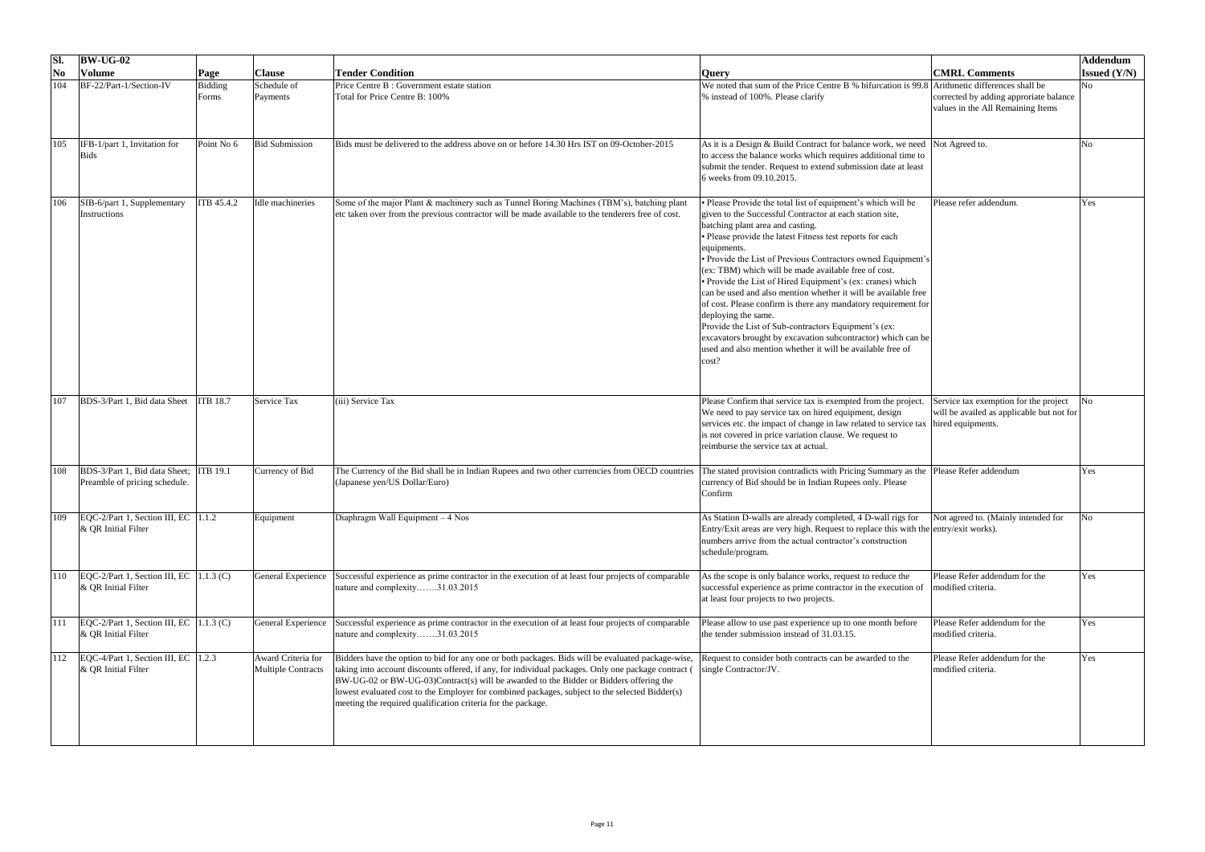| SI.                                  | $\vert$ BW-UG-02                                                        |                         |                                                 |                                                                                                                                                                                                                                                                                                                                                                                                                                                                      |                                                                                                                                                                                                                                                                                                                                                                                                                                                                                                                                                                                                                                                                                                                                                                                        |                                                                                    | Addendum            |
|--------------------------------------|-------------------------------------------------------------------------|-------------------------|-------------------------------------------------|----------------------------------------------------------------------------------------------------------------------------------------------------------------------------------------------------------------------------------------------------------------------------------------------------------------------------------------------------------------------------------------------------------------------------------------------------------------------|----------------------------------------------------------------------------------------------------------------------------------------------------------------------------------------------------------------------------------------------------------------------------------------------------------------------------------------------------------------------------------------------------------------------------------------------------------------------------------------------------------------------------------------------------------------------------------------------------------------------------------------------------------------------------------------------------------------------------------------------------------------------------------------|------------------------------------------------------------------------------------|---------------------|
| $\overline{\textbf{N}}$ <sub>0</sub> | <b>Volume</b>                                                           | Page                    | <b>Clause</b>                                   | <b>Tender Condition</b>                                                                                                                                                                                                                                                                                                                                                                                                                                              | <b>Query</b>                                                                                                                                                                                                                                                                                                                                                                                                                                                                                                                                                                                                                                                                                                                                                                           | <b>CMRL Comments</b>                                                               | <b>Issued</b> (Y/N) |
| 104                                  | BF-22/Part-1/Section-IV                                                 | <b>Bidding</b><br>Forms | Schedule of<br>Payments                         | Price Centre B : Government estate station<br>Total for Price Centre B: 100%                                                                                                                                                                                                                                                                                                                                                                                         | We noted that sum of the Price Centre B % bifurcation is 99.8 Arithmetic differences shall be<br>% instead of 100%. Please clarify                                                                                                                                                                                                                                                                                                                                                                                                                                                                                                                                                                                                                                                     | corrected by adding approriate balance<br>values in the All Remaining Items        | N <sub>0</sub>      |
| 105                                  | $IFB-1/part 1$ , Invitation for<br><b>Bids</b>                          | Point No 6              | <b>Bid Submission</b>                           | Bids must be delivered to the address above on or before 14.30 Hrs IST on 09-October-2015                                                                                                                                                                                                                                                                                                                                                                            | As it is a Design & Build Contract for balance work, we need Not Agreed to.<br>to access the balance works which requires additional time to<br>submit the tender. Request to extend submission date at least<br>6 weeks from 09.10.2015.                                                                                                                                                                                                                                                                                                                                                                                                                                                                                                                                              |                                                                                    | No                  |
| 106                                  | SIB-6/part 1, Supplementary<br>Instructions                             | <b>ITB</b> 45.4.2       | Idle machineries                                | Some of the major Plant & machinery such as Tunnel Boring Machines (TBM's), batching plant<br>etc taken over from the previous contractor will be made available to the tenderers free of cost.                                                                                                                                                                                                                                                                      | Please Provide the total list of equipment's which will be<br>given to the Successful Contractor at each station site,<br>batching plant area and casting.<br>• Please provide the latest Fitness test reports for each<br>equipments.<br>• Provide the List of Previous Contractors owned Equipment's<br>(ex: TBM) which will be made available free of cost.<br>• Provide the List of Hired Equipment's (ex: cranes) which<br>can be used and also mention whether it will be available free<br>of cost. Please confirm is there any mandatory requirement for<br>deploying the same.<br>Provide the List of Sub-contractors Equipment's (ex:<br>excavators brought by excavation subcontractor) which can be<br>used and also mention whether it will be available free of<br>cost? | Please refer addendum.                                                             | Yes                 |
| 107                                  | BDS-3/Part 1, Bid data Sheet                                            | <b>ITB 18.7</b>         | <b>Service Tax</b>                              | (iii) Service Tax                                                                                                                                                                                                                                                                                                                                                                                                                                                    | Please Confirm that service tax is exempted from the project.<br>We need to pay service tax on hired equipment, design<br>services etc. the impact of change in law related to service tax hired equipments.<br>is not covered in price variation clause. We request to<br>reimburse the service tax at actual                                                                                                                                                                                                                                                                                                                                                                                                                                                                         | Service tax exemption for the project<br>will be availed as applicable but not for |                     |
| 108                                  | BDS-3/Part 1, Bid data Sheet; ITB 19.1<br>Preamble of pricing schedule. |                         | Currency of Bid                                 | The Currency of the Bid shall be in Indian Rupees and two other currencies from OECD countries<br>(Japanese yen/US Dollar/Euro)                                                                                                                                                                                                                                                                                                                                      | The stated provision contradicts with Pricing Summary as the Please Refer addendum<br>currency of Bid should be in Indian Rupees only. Please<br>Confirm                                                                                                                                                                                                                                                                                                                                                                                                                                                                                                                                                                                                                               |                                                                                    | Yes                 |
| 109                                  | $EQC-2/Part 1$ , Section III, EC   1.1.2<br>$\&$ QR Initial Filter      |                         | Equipment                                       | Diaphragm Wall Equipment – 4 Nos                                                                                                                                                                                                                                                                                                                                                                                                                                     | As Station D-walls are already completed, 4 D-wall rigs for<br>Entry/Exit areas are very high. Request to replace this with the entry/exit works).<br>numbers arrive from the actual contractor's construction<br>schedule/program.                                                                                                                                                                                                                                                                                                                                                                                                                                                                                                                                                    | Not agreed to. (Mainly intended for                                                |                     |
|                                      | $EQC-2/Part 1$ , Section III, EC   1.1.3 (C)<br>$\&$ QR Initial Filter  |                         | <b>General Experience</b>                       | Successful experience as prime contractor in the execution of at least four projects of comparable<br>nature and complexity31.03.2015                                                                                                                                                                                                                                                                                                                                | As the scope is only balance works, request to reduce the<br>successful experience as prime contractor in the execution of<br>at least four projects to two projects.                                                                                                                                                                                                                                                                                                                                                                                                                                                                                                                                                                                                                  | Please Refer addendum for the<br>modified criteria.                                | Yes                 |
| 111                                  | $EQC-2/Part 1$ , Section III, EC   1.1.3 (C)<br>$\&$ QR Initial Filter  |                         | <b>General Experience</b>                       | Successful experience as prime contractor in the execution of at least four projects of comparable<br>nature and complexity31.03.2015                                                                                                                                                                                                                                                                                                                                | Please allow to use past experience up to one month before<br>the tender submission instead of 31.03.15.                                                                                                                                                                                                                                                                                                                                                                                                                                                                                                                                                                                                                                                                               | Please Refer addendum for the<br>modified criteria.                                | Yes                 |
| 112                                  | $ EQC-4/Part 1, Section III, EC$  1.2.3<br>$\&$ QR Initial Filter       |                         | Award Criteria for<br><b>Multiple Contracts</b> | Bidders have the option to bid for any one or both packages. Bids will be evaluated package-wise,<br>taking into account discounts offered, if any, for individual packages. Only one package contract (<br>BW-UG-02 or BW-UG-03)Contract(s) will be awarded to the Bidder or Bidders offering the<br>lowest evaluated cost to the Employer for combined packages, subject to the selected Bidder(s)<br>meeting the required qualification criteria for the package. | Request to consider both contracts can be awarded to the<br>single Contractor/JV.                                                                                                                                                                                                                                                                                                                                                                                                                                                                                                                                                                                                                                                                                                      | Please Refer addendum for the<br>modified criteria.                                | Yes                 |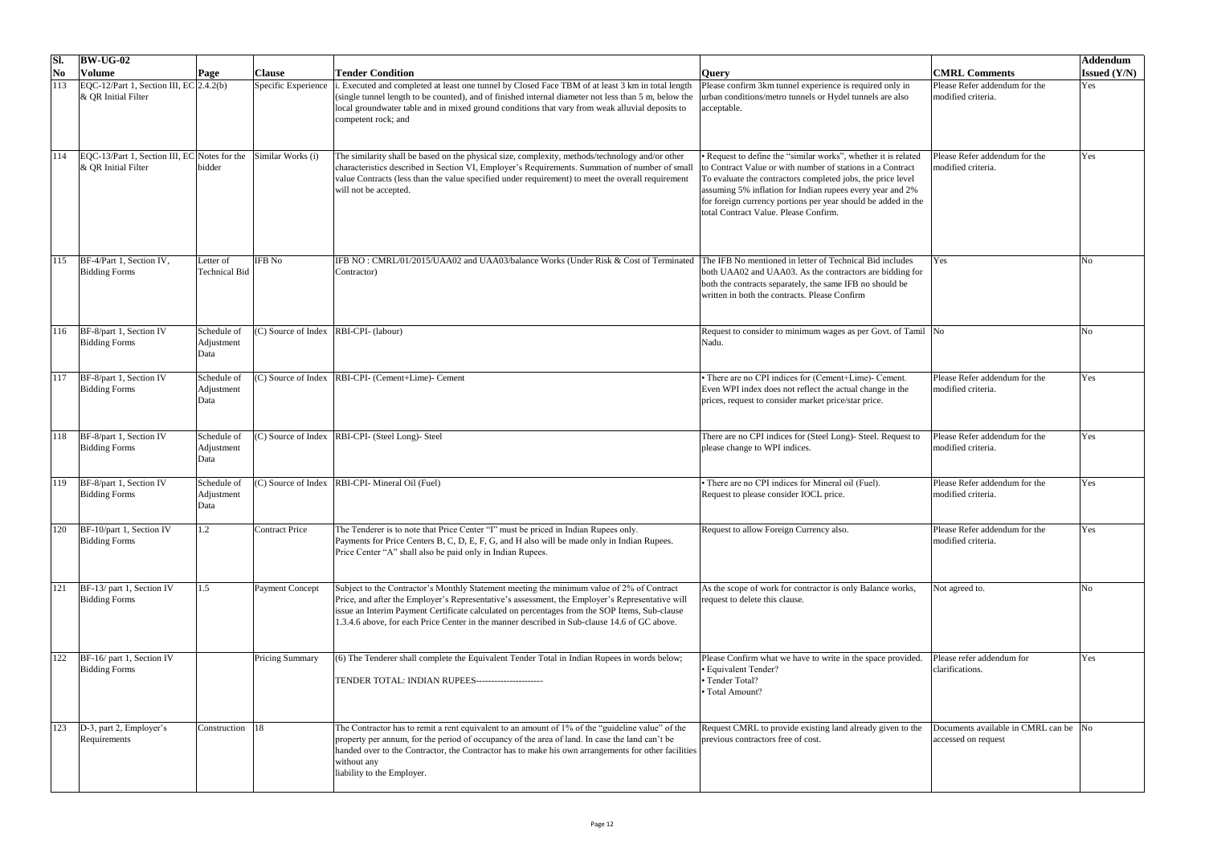| SI.                    | $\vert$ BW-UG-02                                                             |                                   |                        |                                                                                                                                                                                                                                                                                                                                                                                               |                                                                                                                                                                                                                                                                                                                                                                    |                                                              | Addendum            |
|------------------------|------------------------------------------------------------------------------|-----------------------------------|------------------------|-----------------------------------------------------------------------------------------------------------------------------------------------------------------------------------------------------------------------------------------------------------------------------------------------------------------------------------------------------------------------------------------------|--------------------------------------------------------------------------------------------------------------------------------------------------------------------------------------------------------------------------------------------------------------------------------------------------------------------------------------------------------------------|--------------------------------------------------------------|---------------------|
| $\overline{\text{No}}$ | <b>Volume</b>                                                                | Page                              | <b>Clause</b>          | <b>Tender Condition</b>                                                                                                                                                                                                                                                                                                                                                                       | <b>Query</b>                                                                                                                                                                                                                                                                                                                                                       | <b>CMRL Comments</b>                                         | <b>Issued (Y/N)</b> |
|                        | $EQC-12/Part 1$ , Section III, $EC 2.4.2(b)$<br>$\&$ QR Initial Filter       |                                   | Specific Experience    | . Executed and completed at least one tunnel by Closed Face TBM of at least 3 km in total length<br>(single tunnel length to be counted), and of finished internal diameter not less than 5 m, below the<br>local groundwater table and in mixed ground conditions that vary from weak alluvial deposits to<br>competent rock; and                                                            | Please confirm 3km tunnel experience is required only in<br>urban conditions/metro tunnels or Hydel tunnels are also<br>acceptable.                                                                                                                                                                                                                                | Please Refer addendum for the<br>modified criteria.          | Yes                 |
|                        | $EQC-13/Part 1$ , Section III, $EC/N$ otes for the<br>$\&$ QR Initial Filter | bidder                            | Similar Works (i)      | The similarity shall be based on the physical size, complexity, methods/technology and/or other<br>characteristics described in Section VI, Employer's Requirements. Summation of number of small<br>value Contracts (less than the value specified under requirement) to meet the overall requirement<br>will not be accepted.                                                               | • Request to define the "similar works", whether it is related<br>to Contract Value or with number of stations in a Contract<br>To evaluate the contractors completed jobs, the price level<br>assuming 5% inflation for Indian rupees every year and 2%<br>for foreign currency portions per year should be added in the<br>total Contract Value. Please Confirm. | Please Refer addendum for the<br>modified criteria.          | Yes                 |
| 115                    | BF-4/Part 1, Section IV,<br><b>Bidding Forms</b>                             | Letter of<br><b>Technical Bid</b> | <b>IFB</b> No          | IFB NO: CMRL/01/2015/UAA02 and UAA03/balance Works (Under Risk & Cost of Terminated<br>Contractor)                                                                                                                                                                                                                                                                                            | The IFB No mentioned in letter of Technical Bid includes<br>both UAA02 and UAA03. As the contractors are bidding for<br>both the contracts separately, the same IFB no should be<br>written in both the contracts. Please Confirm                                                                                                                                  | Yes                                                          |                     |
| 116                    | $BF-8$ /part 1, Section IV<br><b>Bidding Forms</b>                           | Schedule of<br>Adjustment<br>Data | (C) Source of Index    | RBI-CPI- (labour)                                                                                                                                                                                                                                                                                                                                                                             | Request to consider to minimum wages as per Govt. of Tamil No<br>Nadu.                                                                                                                                                                                                                                                                                             |                                                              |                     |
|                        | BF-8/part 1, Section IV<br><b>Bidding Forms</b>                              | Schedule of<br>Adjustment<br>Data | (C) Source of Index    | RBI-CPI- (Cement+Lime)- Cement                                                                                                                                                                                                                                                                                                                                                                | There are no CPI indices for (Cement+Lime)- Cement.<br>Even WPI index does not reflect the actual change in the<br>prices, request to consider market price/star price.                                                                                                                                                                                            | Please Refer addendum for the<br>modified criteria.          | Yes                 |
|                        | BF-8/part 1, Section IV<br><b>Bidding Forms</b>                              | Schedule of<br>Adjustment<br>Data | (C) Source of Index    | RBI-CPI- (Steel Long)- Steel                                                                                                                                                                                                                                                                                                                                                                  | There are no CPI indices for (Steel Long)- Steel. Request to<br>please change to WPI indices.                                                                                                                                                                                                                                                                      | Please Refer addendum for the<br>modified criteria.          | Yes                 |
| 119                    | BF-8/part 1, Section IV<br><b>Bidding Forms</b>                              | Schedule of<br>Adjustment<br>Data | (C) Source of Index    | RBI-CPI- Mineral Oil (Fuel)                                                                                                                                                                                                                                                                                                                                                                   | There are no CPI indices for Mineral oil (Fuel).<br>Request to please consider IOCL price.                                                                                                                                                                                                                                                                         | Please Refer addendum for the<br>modified criteria.          | Yes                 |
| 120                    | BF-10/part 1, Section IV<br><b>Bidding Forms</b>                             | 1.2                               | <b>Contract Price</b>  | The Tenderer is to note that Price Center "I" must be priced in Indian Rupees only.<br>Payments for Price Centers B, C, D, E, F, G, and H also will be made only in Indian Rupees.<br>Price Center "A" shall also be paid only in Indian Rupees.                                                                                                                                              | Request to allow Foreign Currency also.                                                                                                                                                                                                                                                                                                                            | Please Refer addendum for the<br>modified criteria.          | Yes                 |
| 121                    | $BF-13/$ part 1, Section IV<br><b>Bidding Forms</b>                          | 1.5                               | <b>Payment Concept</b> | Subject to the Contractor's Monthly Statement meeting the minimum value of 2% of Contract<br>Price, and after the Employer's Representative's assessment, the Employer's Representative will<br>issue an Interim Payment Certificate calculated on percentages from the SOP Items, Sub-clause<br>1.3.4.6 above, for each Price Center in the manner described in Sub-clause 14.6 of GC above. | As the scope of work for contractor is only Balance works,<br>request to delete this clause.                                                                                                                                                                                                                                                                       | Not agreed to.                                               |                     |
| 122                    | BF-16/ part 1, Section IV<br><b>Bidding Forms</b>                            |                                   | <b>Pricing Summary</b> | (6) The Tenderer shall complete the Equivalent Tender Total in Indian Rupees in words below;<br>TENDER TOTAL: INDIAN RUPEES---------------------                                                                                                                                                                                                                                              | Please Confirm what we have to write in the space provided.<br>• Equivalent Tender?<br>• Tender Total?<br>• Total Amount?                                                                                                                                                                                                                                          | Please refer addendum for<br>clarifications.                 | Yes                 |
| 123                    | $ D-3$ , part 2, Employer's<br>Requirements                                  | Construction  18                  |                        | The Contractor has to remit a rent equivalent to an amount of 1% of the "guideline value" of the<br>property per annum, for the period of occupancy of the area of land. In case the land can't be<br>handed over to the Contractor, the Contractor has to make his own arrangements for other facilities<br>without any<br>liability to the Employer.                                        | Request CMRL to provide existing land already given to the<br>previous contractors free of cost.                                                                                                                                                                                                                                                                   | Documents available in CMRL can be No<br>accessed on request |                     |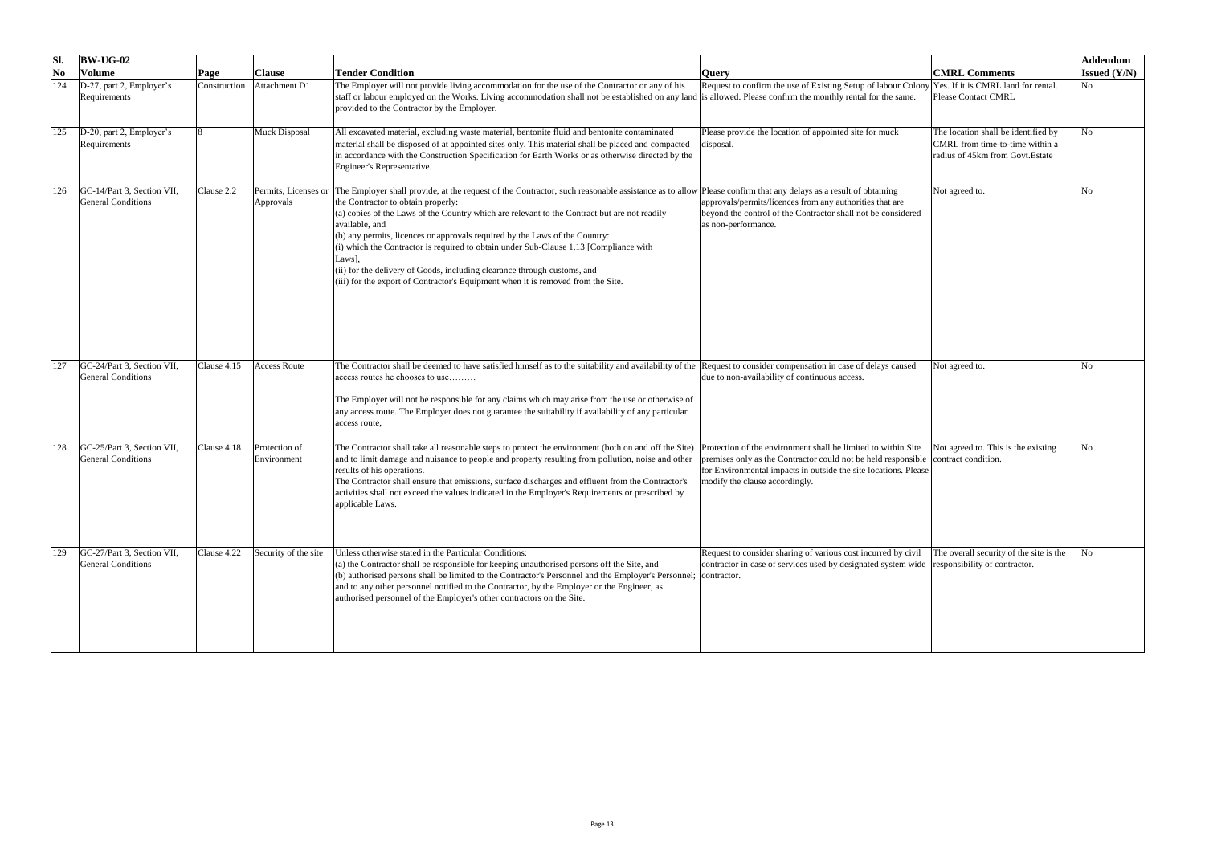| SI.            | $\vert$ BW-UG-02                                        |              |                                   |                                                                                                                                                                                                                                                                                                                                                                                                                                                                                                                                                                                                                                                                             |                                                                                                                                                                                                                                                         |                                                                                                            | Addendum              |
|----------------|---------------------------------------------------------|--------------|-----------------------------------|-----------------------------------------------------------------------------------------------------------------------------------------------------------------------------------------------------------------------------------------------------------------------------------------------------------------------------------------------------------------------------------------------------------------------------------------------------------------------------------------------------------------------------------------------------------------------------------------------------------------------------------------------------------------------------|---------------------------------------------------------------------------------------------------------------------------------------------------------------------------------------------------------------------------------------------------------|------------------------------------------------------------------------------------------------------------|-----------------------|
| N <sub>0</sub> | <b>Volume</b>                                           | <b>Page</b>  | <b>Clause</b>                     | <b>Tender Condition</b>                                                                                                                                                                                                                                                                                                                                                                                                                                                                                                                                                                                                                                                     | <b>Query</b>                                                                                                                                                                                                                                            | <b>CMRL Comments</b>                                                                                       | <b>Issued</b> $(Y/N)$ |
| 124            | $D-27$ , part 2, Employer's<br>Requirements             | Construction | Attachment D1                     | The Employer will not provide living accommodation for the use of the Contractor or any of his<br>staff or labour employed on the Works. Living accommodation shall not be established on any land is allowed. Please confirm the monthly rental for the same.<br>provided to the Contractor by the Employer.                                                                                                                                                                                                                                                                                                                                                               | Request to confirm the use of Existing Setup of labour Colony Yes. If it is CMRL land for rental.                                                                                                                                                       | <b>Please Contact CMRL</b>                                                                                 | No                    |
| 125            | $ D-20$ , part 2, Employer's<br>Requirements            |              | <b>Muck Disposal</b>              | All excavated material, excluding waste material, bentonite fluid and bentonite contaminated<br>material shall be disposed of at appointed sites only. This material shall be placed and compacted<br>in accordance with the Construction Specification for Earth Works or as otherwise directed by the<br>Engineer's Representative.                                                                                                                                                                                                                                                                                                                                       | Please provide the location of appointed site for muck<br>disposal.                                                                                                                                                                                     | The location shall be identified by<br>CMRL from time-to-time within a<br>radius of 45km from Govt. Estate | No                    |
| 126            | GC-14/Part 3, Section VII,<br><b>General Conditions</b> | Clause 2.2   | Permits, Licenses or<br>Approvals | The Employer shall provide, at the request of the Contractor, such reasonable assistance as to allow Please confirm that any delays as a result of obtaining<br>the Contractor to obtain properly:<br>$\alpha$ copies of the Laws of the Country which are relevant to the Contract but are not readily<br>available, and<br>(b) any permits, licences or approvals required by the Laws of the Country:<br>(i) which the Contractor is required to obtain under Sub-Clause 1.13 [Compliance with<br>Laws],<br>(ii) for the delivery of Goods, including clearance through customs, and<br>(iii) for the export of Contractor's Equipment when it is removed from the Site. | approvals/permits/licences from any authorities that are<br>beyond the control of the Contractor shall not be considered<br>as non-performance.                                                                                                         | Not agreed to.                                                                                             | No                    |
| 127            | GC-24/Part 3, Section VII,<br><b>General Conditions</b> | Clause 4.15  | <b>Access Route</b>               | The Contractor shall be deemed to have satisfied himself as to the suitability and availability of the Request to consider compensation in case of delays caused<br>access routes he chooses to use<br>The Employer will not be responsible for any claims which may arise from the use or otherwise of<br>any access route. The Employer does not guarantee the suitability if availability of any particular<br>access route,                                                                                                                                                                                                                                             | due to non-availability of continuous access.                                                                                                                                                                                                           | Not agreed to.                                                                                             | No                    |
|                | GC-25/Part 3, Section VII,<br><b>General Conditions</b> | Clause 4.18  | Protection of<br>Environment      | The Contractor shall take all reasonable steps to protect the environment (both on and off the Site)<br>and to limit damage and nuisance to people and property resulting from pollution, noise and other<br>results of his operations.<br>The Contractor shall ensure that emissions, surface discharges and effluent from the Contractor's<br>activities shall not exceed the values indicated in the Employer's Requirements or prescribed by<br>applicable Laws.                                                                                                                                                                                                        | Protection of the environment shall be limited to within Site<br>premises only as the Contractor could not be held responsible contract condition.<br>for Environmental impacts in outside the site locations. Please<br>modify the clause accordingly. | Not agreed to. This is the existing                                                                        | No                    |
|                | GC-27/Part 3, Section VII,<br><b>General Conditions</b> | Clause 4.22  | Security of the site              | Unless otherwise stated in the Particular Conditions:<br>(a) the Contractor shall be responsible for keeping unauthorised persons off the Site, and<br>(b) authorised persons shall be limited to the Contractor's Personnel and the Employer's Personnel;<br>and to any other personnel notified to the Contractor, by the Employer or the Engineer, as<br>authorised personnel of the Employer's other contractors on the Site.                                                                                                                                                                                                                                           | Request to consider sharing of various cost incurred by civil<br>contractor in case of services used by designated system wide responsibility of contractor.<br>contractor.                                                                             | The overall security of the site is the                                                                    | No                    |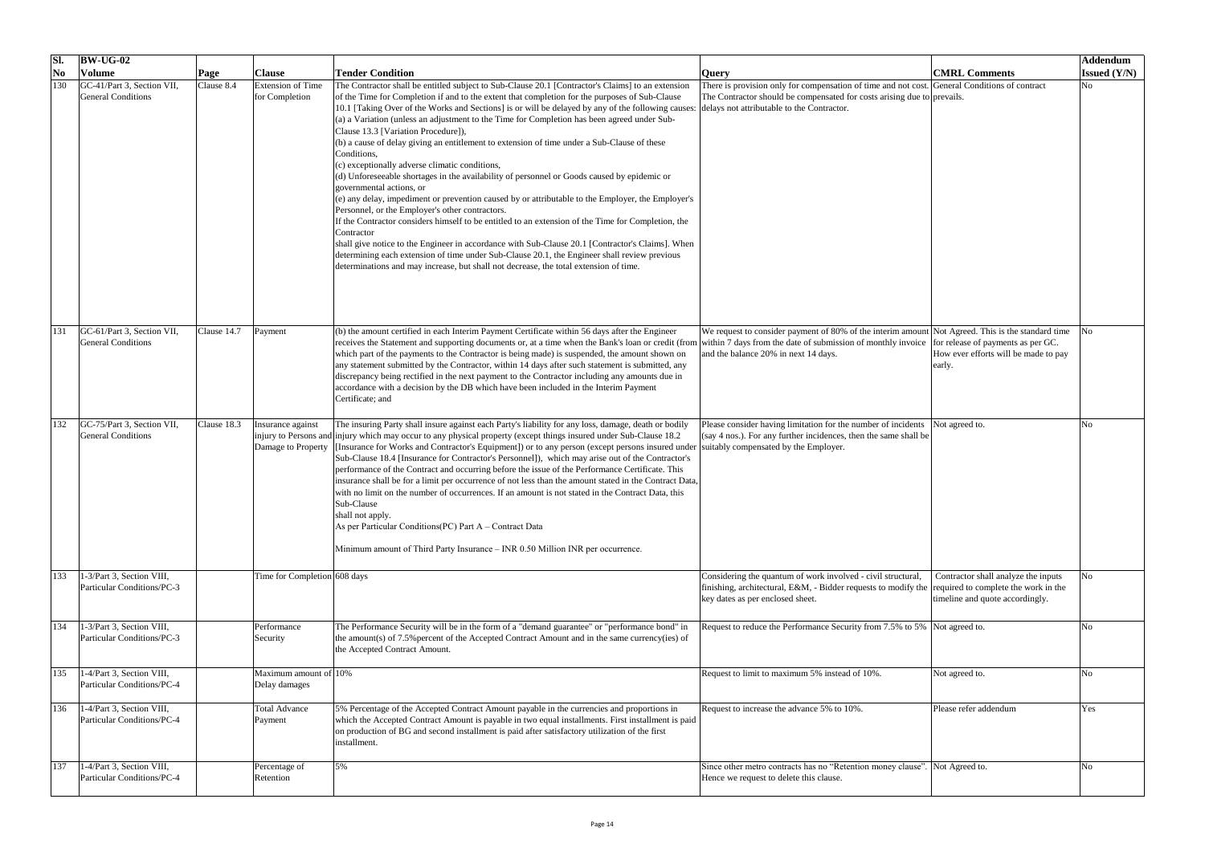| SI.                    | $BW-UG-02$                                                        |             |                                            |                                                                                                                                                                                                                                                                                                                                                                                                                                                                                                                                                                                                                                                                                                                                                                                                                                                                                                                                                                                                                                                                                                                                                                                                                                                                                                                       |                                                                                                                                                                                                                        |                                                                        | Addendum              |
|------------------------|-------------------------------------------------------------------|-------------|--------------------------------------------|-----------------------------------------------------------------------------------------------------------------------------------------------------------------------------------------------------------------------------------------------------------------------------------------------------------------------------------------------------------------------------------------------------------------------------------------------------------------------------------------------------------------------------------------------------------------------------------------------------------------------------------------------------------------------------------------------------------------------------------------------------------------------------------------------------------------------------------------------------------------------------------------------------------------------------------------------------------------------------------------------------------------------------------------------------------------------------------------------------------------------------------------------------------------------------------------------------------------------------------------------------------------------------------------------------------------------|------------------------------------------------------------------------------------------------------------------------------------------------------------------------------------------------------------------------|------------------------------------------------------------------------|-----------------------|
| $\overline{\text{No}}$ | <b>Volume</b>                                                     | <b>Page</b> | <b>Clause</b>                              | <b>Tender Condition</b>                                                                                                                                                                                                                                                                                                                                                                                                                                                                                                                                                                                                                                                                                                                                                                                                                                                                                                                                                                                                                                                                                                                                                                                                                                                                                               | <b>Query</b>                                                                                                                                                                                                           | <b>CMRL Comments</b>                                                   | <b>Issued</b> $(Y/N)$ |
| 130                    | GC-41/Part 3, Section VII,<br><b>General Conditions</b>           | Clause 8.4  | <b>Extension of Time</b><br>for Completion | The Contractor shall be entitled subject to Sub-Clause 20.1 [Contractor's Claims] to an extension<br>of the Time for Completion if and to the extent that completion for the purposes of Sub-Clause<br>10.1 [Taking Over of the Works and Sections] is or will be delayed by any of the following causes:<br>(a) a Variation (unless an adjustment to the Time for Completion has been agreed under Sub-<br>Clause 13.3 [Variation Procedure]),<br>(b) a cause of delay giving an entitlement to extension of time under a Sub-Clause of these<br>Conditions,<br>(c) exceptionally adverse climatic conditions,<br>(d) Unforeseeable shortages in the availability of personnel or Goods caused by epidemic or<br>governmental actions, or<br>$(e)$ any delay, impediment or prevention caused by or attributable to the Employer, the Employer's<br>Personnel, or the Employer's other contractors.<br>If the Contractor considers himself to be entitled to an extension of the Time for Completion, the<br>Contractor<br>shall give notice to the Engineer in accordance with Sub-Clause 20.1 [Contractor's Claims]. When<br>determining each extension of time under Sub-Clause 20.1, the Engineer shall review previous<br>determinations and may increase, but shall not decrease, the total extension of time. | There is provision only for compensation of time and not cost. General Conditions of contract<br>The Contractor should be compensated for costs arising due to prevails.<br>delays not attributable to the Contractor. |                                                                        | No                    |
| 131                    | GC-61/Part 3, Section VII,<br><b>General Conditions</b>           | Clause 14.7 | Payment                                    | (b) the amount certified in each Interim Payment Certificate within 56 days after the Engineer<br>receives the Statement and supporting documents or, at a time when the Bank's loan or credit (from within 7 days from the date of submission of monthly invoice for release of payments as per GC.<br>which part of the payments to the Contractor is being made) is suspended, the amount shown on<br>any statement submitted by the Contractor, within 14 days after such statement is submitted, any<br>discrepancy being rectified in the next payment to the Contractor including any amounts due in<br>accordance with a decision by the DB which have been included in the Interim Payment<br>Certificate; and                                                                                                                                                                                                                                                                                                                                                                                                                                                                                                                                                                                               | We request to consider payment of 80% of the interim amount Not Agreed. This is the standard time<br>and the balance 20% in next 14 days.                                                                              | How ever efforts will be made to pay<br>early.                         |                       |
|                        | GC-75/Part 3, Section VII,<br>General Conditions                  | Clause 18.3 | Insurance against<br>Damage to Property    | The insuring Party shall insure against each Party's liability for any loss, damage, death or bodily<br>injury to Persons and injury which may occur to any physical property (except things insured under Sub-Clause 18.2<br>[Insurance for Works and Contractor's Equipment]) or to any person (except persons insured under  suitably compensated by the Employer.<br>Sub-Clause 18.4 [Insurance for Contractor's Personnel]), which may arise out of the Contractor's<br>performance of the Contract and occurring before the issue of the Performance Certificate. This<br>insurance shall be for a limit per occurrence of not less than the amount stated in the Contract Data,<br>with no limit on the number of occurrences. If an amount is not stated in the Contract Data, this<br>Sub-Clause<br>shall not apply.<br>As per Particular Conditions (PC) Part A – Contract Data<br>Minimum amount of Third Party Insurance – INR 0.50 Million INR per occurrence.                                                                                                                                                                                                                                                                                                                                           | Please consider having limitation for the number of incidents Not agreed to.<br>(say 4 nos.). For any further incidences, then the same shall be                                                                       |                                                                        |                       |
| $133$                  | $1-3$ /Part 3, Section VIII,<br>Particular Conditions/PC-3        |             | Time for Completion 608 days               |                                                                                                                                                                                                                                                                                                                                                                                                                                                                                                                                                                                                                                                                                                                                                                                                                                                                                                                                                                                                                                                                                                                                                                                                                                                                                                                       | Considering the quantum of work involved - civil structural,<br>finishing, architectural, E&M, - Bidder requests to modify the $ $ required to complete the work in the<br>key dates as per enclosed sheet.            | Contractor shall analyze the inputs<br>timeline and quote accordingly. |                       |
| 134                    | $1-3$ /Part 3, Section VIII,<br>Particular Conditions/PC-3        |             | Performance<br>Security                    | The Performance Security will be in the form of a "demand guarantee" or "performance bond" in<br>the amount(s) of 7.5% percent of the Accepted Contract Amount and in the same currency(ies) of<br>the Accepted Contract Amount.                                                                                                                                                                                                                                                                                                                                                                                                                                                                                                                                                                                                                                                                                                                                                                                                                                                                                                                                                                                                                                                                                      | Request to reduce the Performance Security from 7.5% to 5% Not agreed to.                                                                                                                                              |                                                                        |                       |
| 135                    | 1-4/Part 3, Section VIII,<br><b>Particular Conditions/PC-4</b>    |             | Maximum amount of 10%<br>Delay damages     |                                                                                                                                                                                                                                                                                                                                                                                                                                                                                                                                                                                                                                                                                                                                                                                                                                                                                                                                                                                                                                                                                                                                                                                                                                                                                                                       | Request to limit to maximum 5% instead of 10%.                                                                                                                                                                         | Not agreed to.                                                         | Nο                    |
| 136                    | $1-4$ /Part 3, Section VIII,<br>Particular Conditions/PC-4        |             | <b>Total Advance</b><br>Payment            | 5% Percentage of the Accepted Contract Amount payable in the currencies and proportions in<br>which the Accepted Contract Amount is payable in two equal installments. First installment is paid<br>on production of BG and second installment is paid after satisfactory utilization of the first<br>installment.                                                                                                                                                                                                                                                                                                                                                                                                                                                                                                                                                                                                                                                                                                                                                                                                                                                                                                                                                                                                    | Request to increase the advance 5% to 10%.                                                                                                                                                                             | Please refer addendum                                                  | Yes                   |
| 137                    | $1-4$ /Part 3, Section VIII,<br><b>Particular Conditions/PC-4</b> |             | Percentage of<br>Retention                 | 5%                                                                                                                                                                                                                                                                                                                                                                                                                                                                                                                                                                                                                                                                                                                                                                                                                                                                                                                                                                                                                                                                                                                                                                                                                                                                                                                    | Since other metro contracts has no "Retention money clause". Not Agreed to.<br>Hence we request to delete this clause.                                                                                                 |                                                                        | No.                   |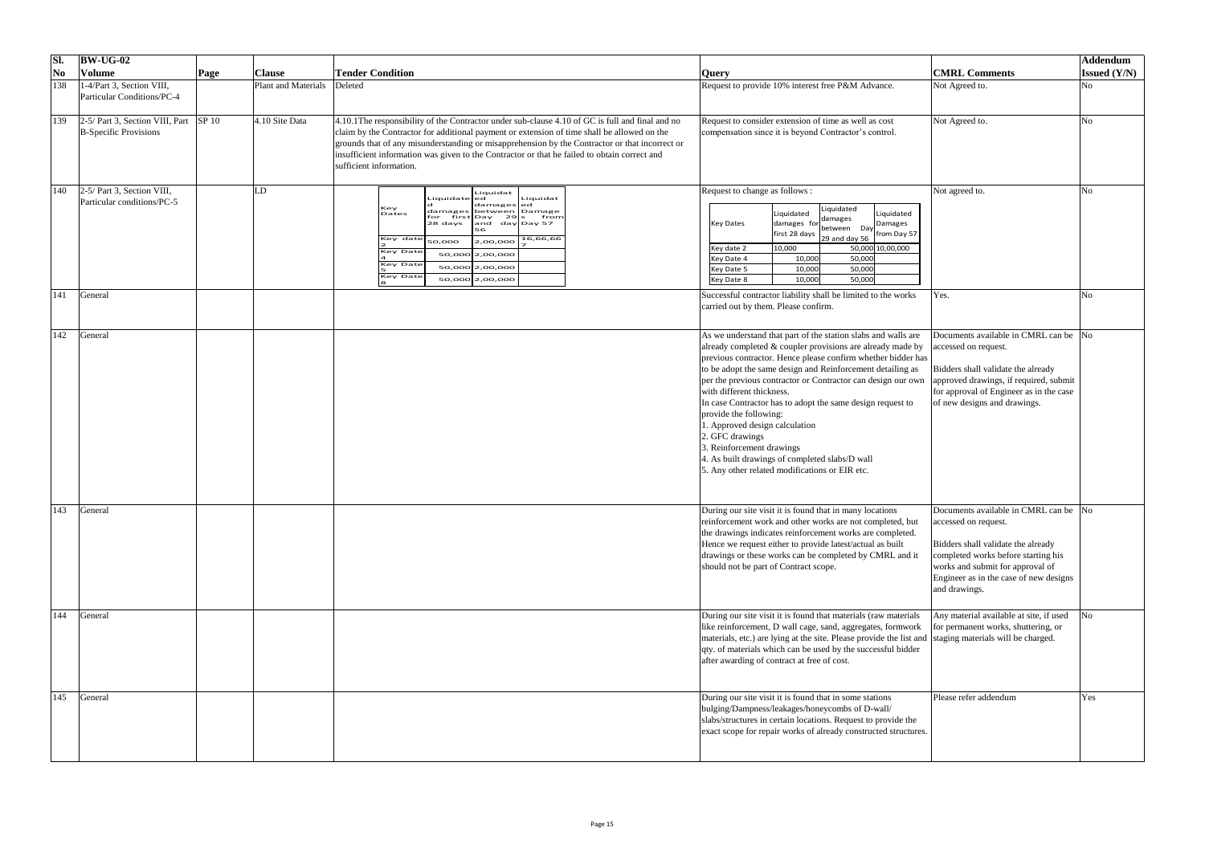| SI.                       | $ BW-UG-02 $                                                                           |      |                     |                                                                                                                                                                                                                                                                                                                                                                                                                              |                                                                                                                                                                                                                                                                                                                                                                                                                                                                                                                                                                                                                                                                     |                                                                                                                                                                                                                                           | Addendum            |
|---------------------------|----------------------------------------------------------------------------------------|------|---------------------|------------------------------------------------------------------------------------------------------------------------------------------------------------------------------------------------------------------------------------------------------------------------------------------------------------------------------------------------------------------------------------------------------------------------------|---------------------------------------------------------------------------------------------------------------------------------------------------------------------------------------------------------------------------------------------------------------------------------------------------------------------------------------------------------------------------------------------------------------------------------------------------------------------------------------------------------------------------------------------------------------------------------------------------------------------------------------------------------------------|-------------------------------------------------------------------------------------------------------------------------------------------------------------------------------------------------------------------------------------------|---------------------|
| $\overline{\textbf{N}}$ o | <b>Volume</b>                                                                          | Page | <b>Clause</b>       | <b>Tender Condition</b>                                                                                                                                                                                                                                                                                                                                                                                                      | <b>Query</b>                                                                                                                                                                                                                                                                                                                                                                                                                                                                                                                                                                                                                                                        | <b>CMRL Comments</b>                                                                                                                                                                                                                      | <b>Issued (Y/N)</b> |
| 138                       | $1-4$ /Part 3, Section VIII,<br>Particular Conditions/PC-4                             |      | Plant and Materials | Deleted                                                                                                                                                                                                                                                                                                                                                                                                                      | Request to provide 10% interest free P&M Advance.                                                                                                                                                                                                                                                                                                                                                                                                                                                                                                                                                                                                                   | Not Agreed to.                                                                                                                                                                                                                            | N <sub>o</sub>      |
| 139                       | $\vert$ 2-5/ Part 3, Section VIII, Part $\vert$ SP 10<br><b>B</b> -Specific Provisions |      | $4.10$ Site Data    | 4.10.1 The responsibility of the Contractor under sub-clause 4.10 of GC is full and final and no<br>claim by the Contractor for additional payment or extension of time shall be allowed on the<br>grounds that of any misunderstanding or misapprehension by the Contractor or that incorrect or<br>insufficient information was given to the Contractor or that he failed to obtain correct and<br>sufficient information. | Request to consider extension of time as well as cost<br>compensation since it is beyond Contractor's control.                                                                                                                                                                                                                                                                                                                                                                                                                                                                                                                                                      | Not Agreed to.                                                                                                                                                                                                                            | N <sub>0</sub>      |
| <b>140</b>                | $2-5$ / Part 3, Section VIII,<br>Particular conditions/PC-5                            |      | LD                  | Liquidat<br>Liquidat<br>Liquidate ed<br>damagesed<br>Key<br>damages between Damage<br>Dates<br>first Day<br>29 Is<br>from<br>28 days<br>and day Day 57<br>56<br>16,66,66<br>Key date<br>2,00,000<br>50,000<br><b>Key Date</b><br>50,000 2,00,000<br><b>Key Date</b><br>50,000 2,00,000<br><b>Key Date</b><br>50,000 2,00,000                                                                                                 | Request to change as follows :<br>Liquidated<br>Liquidated<br>Liquidated<br>damages<br>damages for<br>Damages<br><b>Key Dates</b><br>between Day<br>first 28 days<br>from Day 57<br>29 and day 56<br>50,000 10,00,000<br>10,000<br>Key date 2<br>50,000<br>10,000<br>Key Date 4<br>50,000<br>10,000<br>Key Date 5<br>50,000<br>10,000<br>Key Date 8                                                                                                                                                                                                                                                                                                                 | Not agreed to.                                                                                                                                                                                                                            | N <sub>0</sub>      |
| 141                       | General                                                                                |      |                     |                                                                                                                                                                                                                                                                                                                                                                                                                              | Successful contractor liability shall be limited to the works<br>carried out by them. Please confirm.                                                                                                                                                                                                                                                                                                                                                                                                                                                                                                                                                               | Yes.                                                                                                                                                                                                                                      | N <sub>0</sub>      |
| 142                       | General                                                                                |      |                     |                                                                                                                                                                                                                                                                                                                                                                                                                              | As we understand that part of the station slabs and walls are<br>already completed $&$ coupler provisions are already made by $\vert$ accessed on request.<br>previous contractor. Hence please confirm whether bidder has<br>to be adopt the same design and Reinforcement detailing as<br>per the previous contractor or Contractor can design our own<br>with different thickness.<br>In case Contractor has to adopt the same design request to<br>provide the following:<br>1. Approved design calculation<br>2. GFC drawings<br>3. Reinforcement drawings<br>4. As built drawings of completed slabs/D wall<br>5. Any other related modifications or EIR etc. | Documents available in CMRL can be No<br>Bidders shall validate the already<br>approved drawings, if required, submit<br>for approval of Engineer as in the case<br>of new designs and drawings.                                          |                     |
| $ 143\rangle$             | General                                                                                |      |                     |                                                                                                                                                                                                                                                                                                                                                                                                                              | During our site visit it is found that in many locations<br>reinforcement work and other works are not completed, but<br>the drawings indicates reinforcement works are completed.<br>Hence we request either to provide latest/actual as built<br>drawings or these works can be completed by CMRL and it<br>should not be part of Contract scope.                                                                                                                                                                                                                                                                                                                 | Documents available in CMRL can be No<br>accessed on request.<br>Bidders shall validate the already<br>completed works before starting his<br>works and submit for approval of<br>Engineer as in the case of new designs<br>and drawings. |                     |
| 144                       | General                                                                                |      |                     |                                                                                                                                                                                                                                                                                                                                                                                                                              | During our site visit it is found that materials (raw materials<br>like reinforcement, D wall cage, sand, aggregates, formwork<br>materials, etc.) are lying at the site. Please provide the list and staging materials will be charged.<br>qty. of materials which can be used by the successful bidder<br>after awarding of contract at free of cost.                                                                                                                                                                                                                                                                                                             | Any material available at site, if used<br>for permanent works, shuttering, or                                                                                                                                                            | No                  |
| 145                       | General                                                                                |      |                     |                                                                                                                                                                                                                                                                                                                                                                                                                              | During our site visit it is found that in some stations<br>bulging/Dampness/leakages/honeycombs of D-wall/<br>slabs/structures in certain locations. Request to provide the<br>exact scope for repair works of already constructed structures.                                                                                                                                                                                                                                                                                                                                                                                                                      | Please refer addendum                                                                                                                                                                                                                     | Yes                 |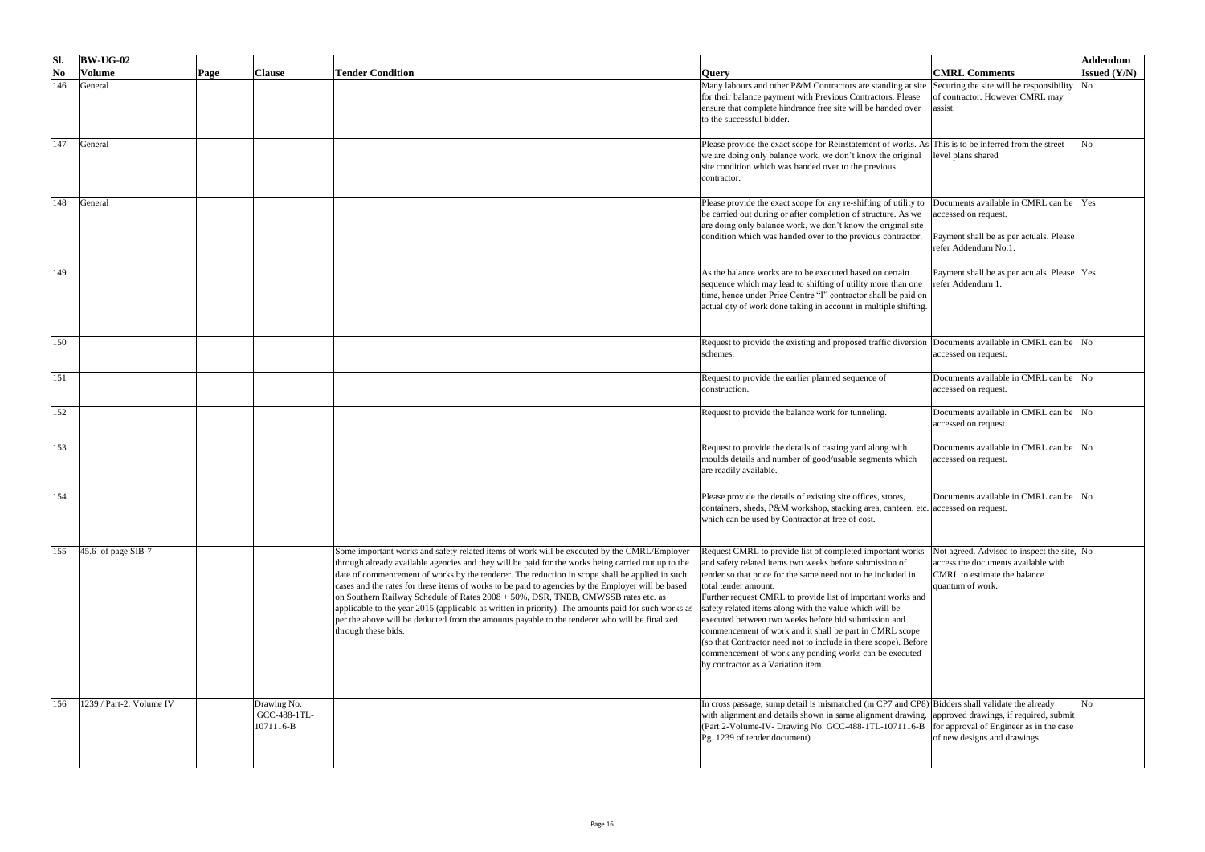| SI.                                  | $\vert$ BW-UG-02         |      |                                              |                                                                                                                                                                                                                                                                                                                                                                                                                                                                                                                                                                                                                                                                                                                              |                                                                                                                                                                                                                                                                                                                                                                                                                                                                                                                                                                                                                              |                                                                                                                                               | Addendum            |
|--------------------------------------|--------------------------|------|----------------------------------------------|------------------------------------------------------------------------------------------------------------------------------------------------------------------------------------------------------------------------------------------------------------------------------------------------------------------------------------------------------------------------------------------------------------------------------------------------------------------------------------------------------------------------------------------------------------------------------------------------------------------------------------------------------------------------------------------------------------------------------|------------------------------------------------------------------------------------------------------------------------------------------------------------------------------------------------------------------------------------------------------------------------------------------------------------------------------------------------------------------------------------------------------------------------------------------------------------------------------------------------------------------------------------------------------------------------------------------------------------------------------|-----------------------------------------------------------------------------------------------------------------------------------------------|---------------------|
| $\overline{\textbf{N}}$ <sub>0</sub> | <b>Volume</b>            | Page | <b>Clause</b>                                | <b>Tender Condition</b>                                                                                                                                                                                                                                                                                                                                                                                                                                                                                                                                                                                                                                                                                                      | <b>Query</b>                                                                                                                                                                                                                                                                                                                                                                                                                                                                                                                                                                                                                 | <b>CMRL Comments</b>                                                                                                                          | <b>Issued (Y/N)</b> |
|                                      | General                  |      |                                              |                                                                                                                                                                                                                                                                                                                                                                                                                                                                                                                                                                                                                                                                                                                              | Many labours and other P&M Contractors are standing at site Securing the site will be responsibility<br>for their balance payment with Previous Contractors. Please<br>ensure that complete hindrance free site will be handed over<br>to the successful bidder.                                                                                                                                                                                                                                                                                                                                                             | of contractor. However CMRL may<br>assist.                                                                                                    |                     |
| 147                                  | General                  |      |                                              |                                                                                                                                                                                                                                                                                                                                                                                                                                                                                                                                                                                                                                                                                                                              | Please provide the exact scope for Reinstatement of works. As This is to be inferred from the street<br>we are doing only balance work, we don't know the original<br>site condition which was handed over to the previous<br>contractor.                                                                                                                                                                                                                                                                                                                                                                                    | level plans shared                                                                                                                            |                     |
|                                      | General                  |      |                                              |                                                                                                                                                                                                                                                                                                                                                                                                                                                                                                                                                                                                                                                                                                                              | Please provide the exact scope for any re-shifting of utility to<br>be carried out during or after completion of structure. As we<br>are doing only balance work, we don't know the original site<br>condition which was handed over to the previous contractor.                                                                                                                                                                                                                                                                                                                                                             | Documents available in CMRL can be Yes<br>accessed on request.<br>Payment shall be as per actuals. Please<br>refer Addendum No.1.             |                     |
| 149                                  |                          |      |                                              |                                                                                                                                                                                                                                                                                                                                                                                                                                                                                                                                                                                                                                                                                                                              | As the balance works are to be executed based on certain<br>sequence which may lead to shifting of utility more than one<br>time, hence under Price Centre "I" contractor shall be paid on<br>actual qty of work done taking in account in multiple shifting.                                                                                                                                                                                                                                                                                                                                                                | Payment shall be as per actuals. Please  Yes<br>refer Addendum 1.                                                                             |                     |
| 150                                  |                          |      |                                              |                                                                                                                                                                                                                                                                                                                                                                                                                                                                                                                                                                                                                                                                                                                              | Request to provide the existing and proposed traffic diversion Documents available in CMRL can be No<br>schemes.                                                                                                                                                                                                                                                                                                                                                                                                                                                                                                             | accessed on request.                                                                                                                          |                     |
| 151                                  |                          |      |                                              |                                                                                                                                                                                                                                                                                                                                                                                                                                                                                                                                                                                                                                                                                                                              | Request to provide the earlier planned sequence of<br>construction.                                                                                                                                                                                                                                                                                                                                                                                                                                                                                                                                                          | Documents available in CMRL can be No<br>accessed on request.                                                                                 |                     |
| 152                                  |                          |      |                                              |                                                                                                                                                                                                                                                                                                                                                                                                                                                                                                                                                                                                                                                                                                                              | Request to provide the balance work for tunneling.                                                                                                                                                                                                                                                                                                                                                                                                                                                                                                                                                                           | Documents available in CMRL can be No<br>accessed on request.                                                                                 |                     |
| $\vert$ 153                          |                          |      |                                              |                                                                                                                                                                                                                                                                                                                                                                                                                                                                                                                                                                                                                                                                                                                              | Request to provide the details of casting yard along with<br>moulds details and number of good/usable segments which<br>are readily available.                                                                                                                                                                                                                                                                                                                                                                                                                                                                               | Documents available in CMRL can be No<br>accessed on request.                                                                                 |                     |
| 154                                  |                          |      |                                              |                                                                                                                                                                                                                                                                                                                                                                                                                                                                                                                                                                                                                                                                                                                              | Please provide the details of existing site offices, stores,<br>containers, sheds, P&M workshop, stacking area, canteen, etc. accessed on request.<br>which can be used by Contractor at free of cost.                                                                                                                                                                                                                                                                                                                                                                                                                       | Documents available in CMRL can be No                                                                                                         |                     |
|                                      | $45.6$ of page SIB-7     |      |                                              | Some important works and safety related items of work will be executed by the CMRL/Employer<br>through already available agencies and they will be paid for the works being carried out up to the<br>date of commencement of works by the tenderer. The reduction in scope shall be applied in such<br>cases and the rates for these items of works to be paid to agencies by the Employer will be based<br>on Southern Railway Schedule of Rates 2008 + 50%, DSR, TNEB, CMWSSB rates etc. as<br>applicable to the year 2015 (applicable as written in priority). The amounts paid for such works as<br>per the above will be deducted from the amounts payable to the tenderer who will be finalized<br>through these bids. | Request CMRL to provide list of completed important works<br>and safety related items two weeks before submission of<br>tender so that price for the same need not to be included in<br>total tender amount.<br>Further request CMRL to provide list of important works and<br>safety related items along with the value which will be<br>executed between two weeks before bid submission and<br>commencement of work and it shall be part in CMRL scope<br>(so that Contractor need not to include in there scope). Before<br>commencement of work any pending works can be executed<br>by contractor as a Variation item. | Not agreed. Advised to inspect the site, No<br>access the documents available with<br><b>CMRL</b> to estimate the balance<br>quantum of work. |                     |
| 156                                  | 1239 / Part-2, Volume IV |      | Drawing No.<br>GCC-488-1TL-<br>$1071116 - B$ |                                                                                                                                                                                                                                                                                                                                                                                                                                                                                                                                                                                                                                                                                                                              | In cross passage, sump detail is mismatched (in CP7 and CP8) Bidders shall validate the already<br>with alignment and details shown in same alignment drawing. approved drawings, if required, submit<br>(Part 2-Volume-IV- Drawing No. GCC-488-1TL-1071116-B for approval of Engineer as in the case<br>Pg. 1239 of tender document)                                                                                                                                                                                                                                                                                        | of new designs and drawings.                                                                                                                  |                     |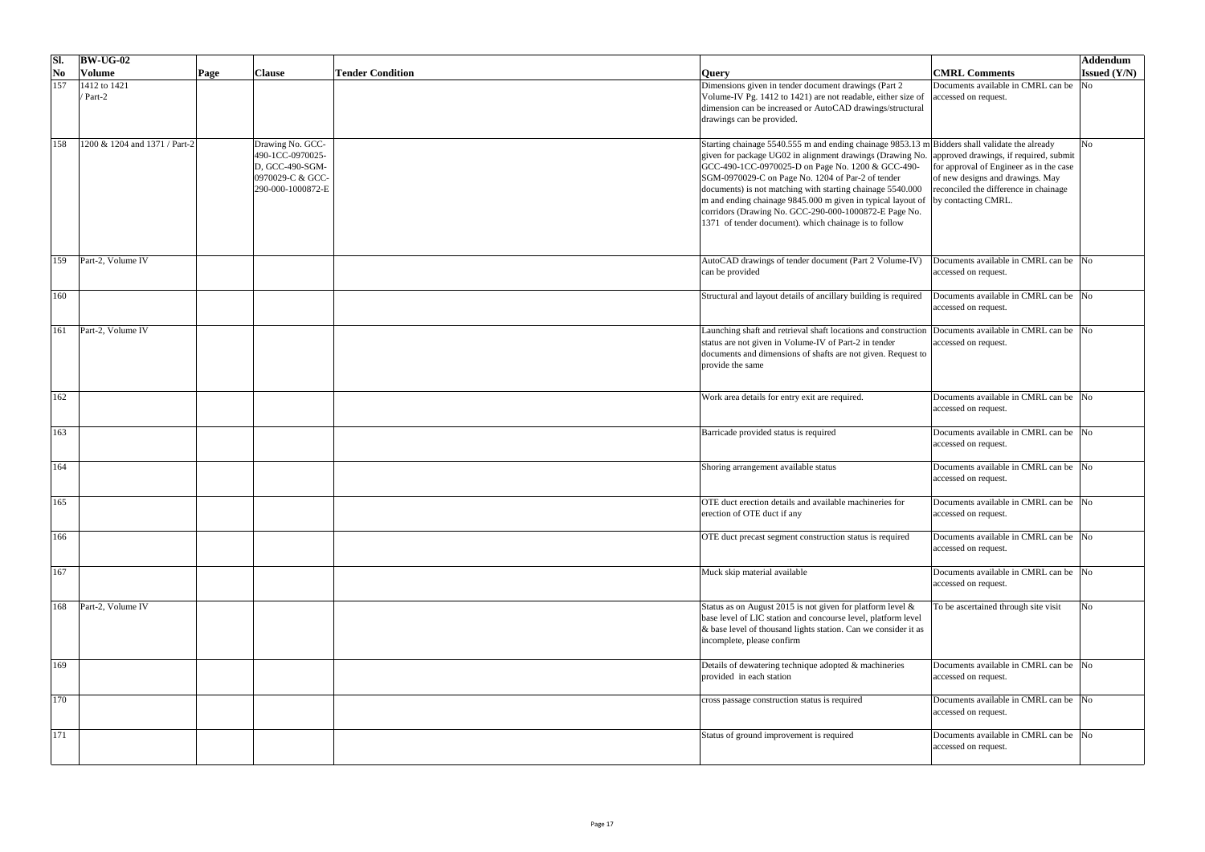| SI.                       | $\vert$ BW-UG-02              |                       |                                                                                                  |                         |                                                                                                                                                                                                                                                                                                                                                                                                                                                                                                                                                            |                                                                                                                                             | <b>Addendum</b>        |
|---------------------------|-------------------------------|-----------------------|--------------------------------------------------------------------------------------------------|-------------------------|------------------------------------------------------------------------------------------------------------------------------------------------------------------------------------------------------------------------------------------------------------------------------------------------------------------------------------------------------------------------------------------------------------------------------------------------------------------------------------------------------------------------------------------------------------|---------------------------------------------------------------------------------------------------------------------------------------------|------------------------|
| $\overline{\textbf{N}}$ o | <b>Volume</b>                 | <b>Clause</b><br>Page |                                                                                                  | <b>Tender Condition</b> | <b>Query</b>                                                                                                                                                                                                                                                                                                                                                                                                                                                                                                                                               | <b>CMRL Comments</b>                                                                                                                        | <b>Issued (Y/N)</b>    |
| 157                       | $1412$ to 1421<br>/ Part-2    |                       |                                                                                                  |                         | Dimensions given in tender document drawings (Part 2<br>Volume-IV Pg. 1412 to 1421) are not readable, either size of<br>dimension can be increased or AutoCAD drawings/structural<br>drawings can be provided.                                                                                                                                                                                                                                                                                                                                             | Documents available in CMRL can be<br>accessed on request.                                                                                  | $\overline{\text{No}}$ |
| 158                       | 1200 & 1204 and 1371 / Part-2 |                       | Drawing No. GCC-<br>490-1CC-0970025-<br>D, GCC-490-SGM-<br>0970029-C & GCC-<br>290-000-1000872-E |                         | Starting chainage 5540.555 m and ending chainage 9853.13 m Bidders shall validate the already<br>given for package UG02 in alignment drawings (Drawing No. approved drawings, if required, submit<br>GCC-490-1CC-0970025-D on Page No. 1200 & GCC-490-<br>SGM-0970029-C on Page No. 1204 of Par-2 of tender<br>documents) is not matching with starting chainage 5540.000<br>m and ending chainage 9845.000 m given in typical layout of<br>corridors (Drawing No. GCC-290-000-1000872-E Page No.<br>1371 of tender document). which chainage is to follow | for approval of Engineer as in the case<br>of new designs and drawings. May<br>reconciled the difference in chainage<br>by contacting CMRL. |                        |
| 159                       | Part-2, Volume IV             |                       |                                                                                                  |                         | AutoCAD drawings of tender document (Part 2 Volume-IV)<br>can be provided                                                                                                                                                                                                                                                                                                                                                                                                                                                                                  | Documents available in CMRL can be  No<br>accessed on request.                                                                              |                        |
| 160                       |                               |                       |                                                                                                  |                         | Structural and layout details of ancillary building is required                                                                                                                                                                                                                                                                                                                                                                                                                                                                                            | Documents available in CMRL can be No<br>accessed on request.                                                                               |                        |
| 161                       | Part-2, Volume IV             |                       |                                                                                                  |                         | Launching shaft and retrieval shaft locations and construction Documents available in CMRL can be No<br>status are not given in Volume-IV of Part-2 in tender<br>documents and dimensions of shafts are not given. Request to<br>provide the same                                                                                                                                                                                                                                                                                                          | accessed on request.                                                                                                                        |                        |
| $\boxed{162}$             |                               |                       |                                                                                                  |                         | Work area details for entry exit are required.                                                                                                                                                                                                                                                                                                                                                                                                                                                                                                             | Documents available in CMRL can be No<br>accessed on request.                                                                               |                        |
| 163                       |                               |                       |                                                                                                  |                         | Barricade provided status is required                                                                                                                                                                                                                                                                                                                                                                                                                                                                                                                      | Documents available in CMRL can be No<br>accessed on request.                                                                               |                        |
| 164                       |                               |                       |                                                                                                  |                         | Shoring arrangement available status                                                                                                                                                                                                                                                                                                                                                                                                                                                                                                                       | Documents available in CMRL can be No<br>accessed on request.                                                                               |                        |
| 165                       |                               |                       |                                                                                                  |                         | OTE duct erection details and available machineries for<br>erection of OTE duct if any                                                                                                                                                                                                                                                                                                                                                                                                                                                                     | Documents available in CMRL can be No<br>accessed on request.                                                                               |                        |
| 166                       |                               |                       |                                                                                                  |                         | OTE duct precast segment construction status is required                                                                                                                                                                                                                                                                                                                                                                                                                                                                                                   | Documents available in CMRL can be  No<br>accessed on request.                                                                              |                        |
| 167                       |                               |                       |                                                                                                  |                         | Muck skip material available                                                                                                                                                                                                                                                                                                                                                                                                                                                                                                                               | Documents available in CMRL can be No<br>accessed on request.                                                                               |                        |
|                           | Part-2, Volume IV             |                       |                                                                                                  |                         | Status as on August 2015 is not given for platform level $\&$<br>base level of LIC station and concourse level, platform level<br>$\&$ base level of thousand lights station. Can we consider it as<br>incomplete, please confirm                                                                                                                                                                                                                                                                                                                          | To be ascertained through site visit                                                                                                        | N <sub>0</sub>         |
| 169                       |                               |                       |                                                                                                  |                         | Details of dewatering technique adopted & machineries<br>provided in each station                                                                                                                                                                                                                                                                                                                                                                                                                                                                          | Documents available in CMRL can be No<br>accessed on request.                                                                               |                        |
| 170                       |                               |                       |                                                                                                  |                         | cross passage construction status is required                                                                                                                                                                                                                                                                                                                                                                                                                                                                                                              | Documents available in CMRL can be No<br>accessed on request.                                                                               |                        |
| 171                       |                               |                       |                                                                                                  |                         | Status of ground improvement is required                                                                                                                                                                                                                                                                                                                                                                                                                                                                                                                   | Documents available in CMRL can be No<br>accessed on request.                                                                               |                        |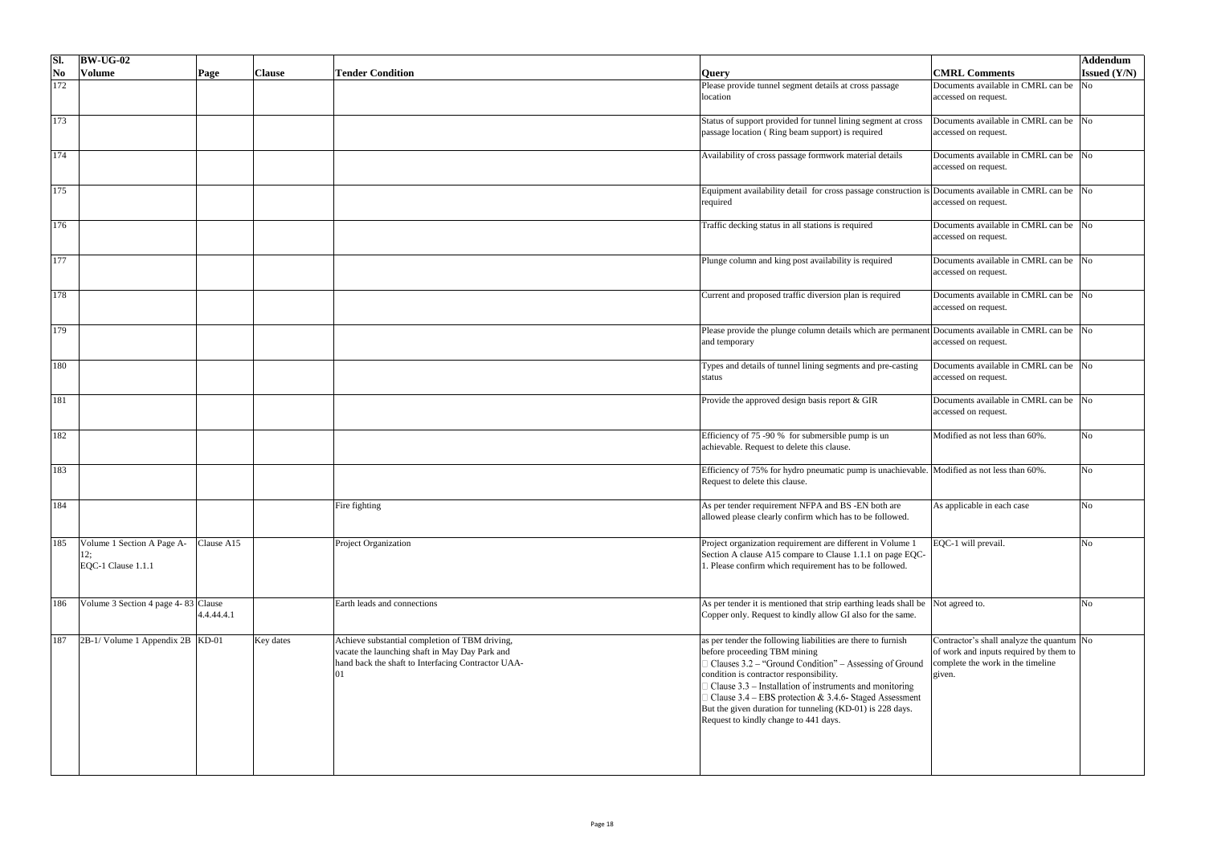| SI.                    | $\vert$ BW-UG-02                                        |              |               |                                                                                                                                                        |                                                                                                                                                                                                                                                                                                                                                                                                                                |                                                                                                                                            | <b>Addendum</b>     |
|------------------------|---------------------------------------------------------|--------------|---------------|--------------------------------------------------------------------------------------------------------------------------------------------------------|--------------------------------------------------------------------------------------------------------------------------------------------------------------------------------------------------------------------------------------------------------------------------------------------------------------------------------------------------------------------------------------------------------------------------------|--------------------------------------------------------------------------------------------------------------------------------------------|---------------------|
| $\overline{\text{No}}$ | <b>Volume</b>                                           | $\vert$ Page | <b>Clause</b> | <b>Tender Condition</b>                                                                                                                                | <b>Query</b>                                                                                                                                                                                                                                                                                                                                                                                                                   | <b>CMRL Comments</b>                                                                                                                       | <b>Issued (Y/N)</b> |
| 172                    |                                                         |              |               |                                                                                                                                                        | Please provide tunnel segment details at cross passage                                                                                                                                                                                                                                                                                                                                                                         | Documents available in CMRL can be No                                                                                                      |                     |
|                        |                                                         |              |               |                                                                                                                                                        | location                                                                                                                                                                                                                                                                                                                                                                                                                       | accessed on request.                                                                                                                       |                     |
| 173                    |                                                         |              |               |                                                                                                                                                        | Status of support provided for tunnel lining segment at cross<br>passage location (Ring beam support) is required                                                                                                                                                                                                                                                                                                              | Documents available in CMRL can be $\sqrt{N}$<br>accessed on request.                                                                      |                     |
| $\boxed{174}$          |                                                         |              |               |                                                                                                                                                        | Availability of cross passage formwork material details                                                                                                                                                                                                                                                                                                                                                                        | Documents available in CMRL can be No<br>accessed on request.                                                                              |                     |
| 175                    |                                                         |              |               |                                                                                                                                                        | Equipment availability detail for cross passage construction is Documents available in CMRL can be No<br>required                                                                                                                                                                                                                                                                                                              | accessed on request.                                                                                                                       |                     |
| 176                    |                                                         |              |               |                                                                                                                                                        | Traffic decking status in all stations is required                                                                                                                                                                                                                                                                                                                                                                             | Documents available in CMRL can be No<br>accessed on request.                                                                              |                     |
| 177                    |                                                         |              |               |                                                                                                                                                        | Plunge column and king post availability is required                                                                                                                                                                                                                                                                                                                                                                           | Documents available in CMRL can be No<br>accessed on request.                                                                              |                     |
| 178                    |                                                         |              |               |                                                                                                                                                        | Current and proposed traffic diversion plan is required                                                                                                                                                                                                                                                                                                                                                                        | Documents available in CMRL can be No<br>accessed on request.                                                                              |                     |
| 179                    |                                                         |              |               |                                                                                                                                                        | Please provide the plunge column details which are permanent Documents available in CMRL can be No<br>and temporary                                                                                                                                                                                                                                                                                                            | accessed on request.                                                                                                                       |                     |
| 180                    |                                                         |              |               |                                                                                                                                                        | Types and details of tunnel lining segments and pre-casting<br>status                                                                                                                                                                                                                                                                                                                                                          | Documents available in CMRL can be No<br>accessed on request.                                                                              |                     |
| 181                    |                                                         |              |               |                                                                                                                                                        | Provide the approved design basis report & GIR                                                                                                                                                                                                                                                                                                                                                                                 | Documents available in CMRL can be No<br>accessed on request.                                                                              |                     |
| 182                    |                                                         |              |               |                                                                                                                                                        | Efficiency of 75 -90 % for submersible pump is un<br>achievable. Request to delete this clause.                                                                                                                                                                                                                                                                                                                                | Modified as not less than 60%.                                                                                                             | N <sub>0</sub>      |
| 183                    |                                                         |              |               |                                                                                                                                                        | Efficiency of 75% for hydro pneumatic pump is unachievable. Modified as not less than 60%.<br>Request to delete this clause.                                                                                                                                                                                                                                                                                                   |                                                                                                                                            | No                  |
| 184                    |                                                         |              |               | Fire fighting                                                                                                                                          | As per tender requirement NFPA and BS -EN both are<br>allowed please clearly confirm which has to be followed.                                                                                                                                                                                                                                                                                                                 | As applicable in each case                                                                                                                 | N <sub>o</sub>      |
| 185                    | Volume 1 Section A Page A-<br>12;<br>EQC-1 Clause 1.1.1 | Clause A15   |               | Project Organization                                                                                                                                   | Project organization requirement are different in Volume 1<br>Section A clause A15 compare to Clause 1.1.1 on page EQC-<br>. Please confirm which requirement has to be followed.                                                                                                                                                                                                                                              | EQC-1 will prevail.                                                                                                                        | N <sub>o</sub>      |
| 186                    | Volume 3 Section 4 page 4-83 Clause                     | 4.4.44.4.1   |               | Earth leads and connections                                                                                                                            | As per tender it is mentioned that strip earthing leads shall be Not agreed to.<br>Copper only. Request to kindly allow GI also for the same.                                                                                                                                                                                                                                                                                  |                                                                                                                                            |                     |
| 187                    | $ 2B-1/$ Volume 1 Appendix 2B   KD-01                   |              | Key dates     | Achieve substantial completion of TBM driving,<br>vacate the launching shaft in May Day Park and<br>hand back the shaft to Interfacing Contractor UAA- | as per tender the following liabilities are there to furnish<br>before proceeding TBM mining<br>Clauses 3.2 – "Ground Condition" – Assessing of Ground<br>condition is contractor responsibility.<br>Clause 3.3 – Installation of instruments and monitoring<br>Clause $3.4$ – EBS protection & 3.4.6- Staged Assessment<br>But the given duration for tunneling (KD-01) is 228 days.<br>Request to kindly change to 441 days. | Contractor's shall analyze the quantum $\vert$ No<br>of work and inputs required by them to<br>complete the work in the timeline<br>given. |                     |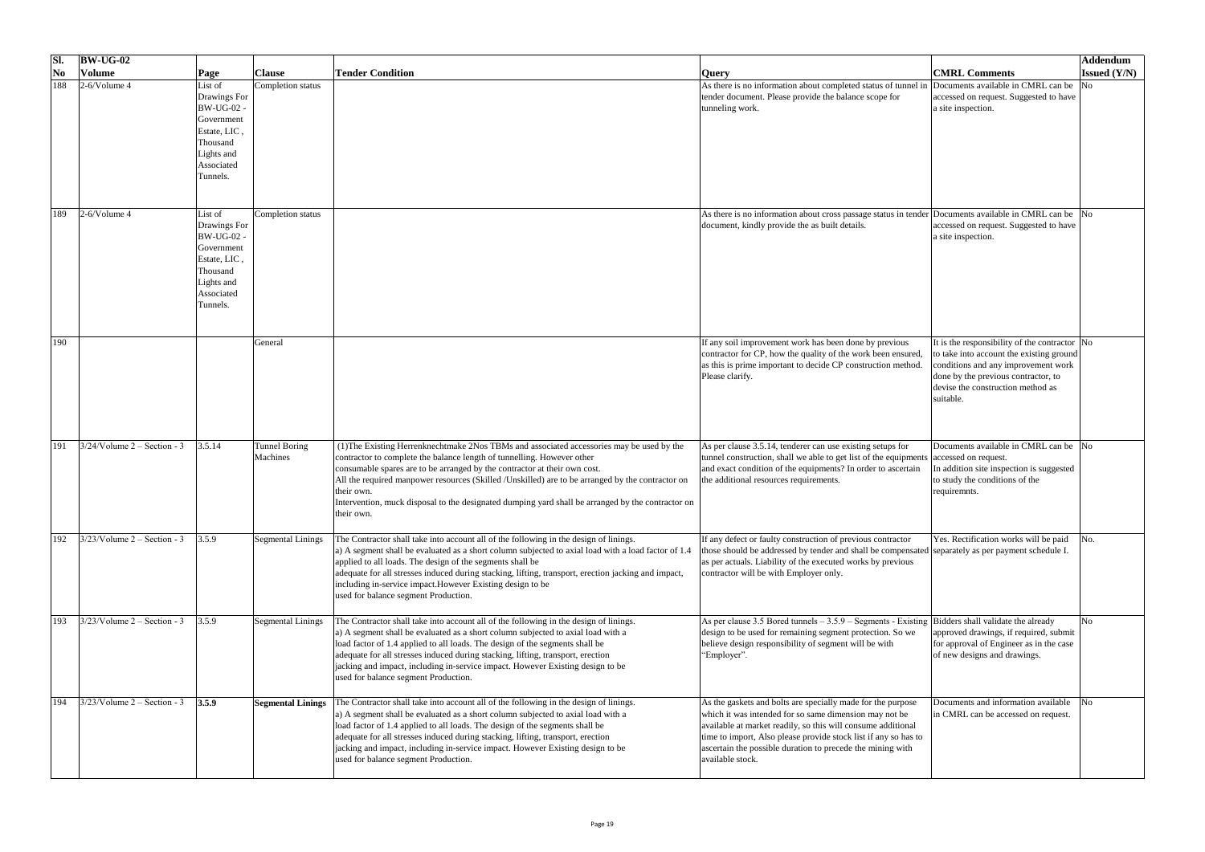| SI.                    | $BW-UG-02$                     |                                                                                                                                |                           |                                                                                                                                                                                                                                                                                                                                                                                                                                                                                       |                                                                                                                                                                                                                                                                                                                                            |                                                                                                                                                                                                                                   | Addendum            |
|------------------------|--------------------------------|--------------------------------------------------------------------------------------------------------------------------------|---------------------------|---------------------------------------------------------------------------------------------------------------------------------------------------------------------------------------------------------------------------------------------------------------------------------------------------------------------------------------------------------------------------------------------------------------------------------------------------------------------------------------|--------------------------------------------------------------------------------------------------------------------------------------------------------------------------------------------------------------------------------------------------------------------------------------------------------------------------------------------|-----------------------------------------------------------------------------------------------------------------------------------------------------------------------------------------------------------------------------------|---------------------|
| $\overline{\text{No}}$ | <b>Volume</b>                  | Page                                                                                                                           | <b>Clause</b>             | <b>Tender Condition</b>                                                                                                                                                                                                                                                                                                                                                                                                                                                               | <b>Query</b>                                                                                                                                                                                                                                                                                                                               | <b>CMRL Comments</b>                                                                                                                                                                                                              | <b>Issued (Y/N)</b> |
| 188                    | $2-6$ /Volume 4                | List of<br>Drawings For<br><b>BW-UG-02 -</b><br>Government<br>Estate, LIC,<br>Thousand<br>Lights and<br>Associated<br>Tunnels. | Completion status         |                                                                                                                                                                                                                                                                                                                                                                                                                                                                                       | As there is no information about completed status of tunnel in Documents available in CMRL can be<br>tender document. Please provide the balance scope for<br>tunneling work.                                                                                                                                                              | accessed on request. Suggested to have<br>a site inspection.                                                                                                                                                                      | No                  |
| 189                    | $2-6$ /Volume 4                | List of<br>Drawings For<br><b>BW-UG-02 -</b><br>Government<br>Estate, LIC,<br>Thousand<br>Lights and<br>Associated<br>Tunnels. | Completion status         |                                                                                                                                                                                                                                                                                                                                                                                                                                                                                       | As there is no information about cross passage status in tender Documents available in CMRL can be No<br>document, kindly provide the as built details.                                                                                                                                                                                    | accessed on request. Suggested to have<br>a site inspection.                                                                                                                                                                      |                     |
| 190                    |                                |                                                                                                                                | General                   |                                                                                                                                                                                                                                                                                                                                                                                                                                                                                       | If any soil improvement work has been done by previous<br>contractor for CP, how the quality of the work been ensured,<br>as this is prime important to decide CP construction method.<br>Please clarify.                                                                                                                                  | It is the responsibility of the contractor $\vert$ No<br>to take into account the existing ground<br>conditions and any improvement work<br>done by the previous contractor, to<br>devise the construction method as<br>suitable. |                     |
| 191                    | $3/24$ /Volume 2 – Section - 3 | 3.5.14                                                                                                                         | Tunnel Boring<br>Machines | (1) The Existing Herrenknechtmake 2Nos TBMs and associated accessories may be used by the<br>contractor to complete the balance length of tunnelling. However other<br>consumable spares are to be arranged by the contractor at their own cost.<br>All the required manpower resources (Skilled /Unskilled) are to be arranged by the contractor on<br>their own.<br>Intervention, muck disposal to the designated dumping yard shall be arranged by the contractor on<br>their own. | As per clause 3.5.14, tenderer can use existing setups for<br>tunnel construction, shall we able to get list of the equipments accessed on request.<br>and exact condition of the equipments? In order to ascertain<br>the additional resources requirements.                                                                              | Documents available in CMRL can be No<br>In addition site inspection is suggested<br>to study the conditions of the<br>requiremnts.                                                                                               |                     |
| 192                    | $3/23$ /Volume 2 – Section - 3 | 3.5.9                                                                                                                          | Segmental Linings         | The Contractor shall take into account all of the following in the design of linings.<br>a) A segment shall be evaluated as a short column subjected to axial load with a load factor of 1.4<br>applied to all loads. The design of the segments shall be<br>adequate for all stresses induced during stacking, lifting, transport, erection jacking and impact,<br>including in-service impact. However Existing design to be<br>used for balance segment Production.                | If any defect or faulty construction of previous contractor<br>those should be addressed by tender and shall be compensated separately as per payment schedule I.<br>as per actuals. Liability of the executed works by previous<br>contractor will be with Employer only.                                                                 | Yes. Rectification works will be paid                                                                                                                                                                                             |                     |
| 193                    | $3/23$ /Volume 2 – Section - 3 | 3.5.9                                                                                                                          | Segmental Linings         | The Contractor shall take into account all of the following in the design of linings.<br>a) A segment shall be evaluated as a short column subjected to axial load with a<br>load factor of 1.4 applied to all loads. The design of the segments shall be<br>adequate for all stresses induced during stacking, lifting, transport, erection<br>jacking and impact, including in-service impact. However Existing design to be<br>used for balance segment Production.                | As per clause 3.5 Bored tunnels $-3.5.9$ – Segments - Existing Bidders shall validate the already<br>design to be used for remaining segment protection. So we   approved drawings, if required, submit<br>believe design responsibility of segment will be with<br>"Employer".                                                            | for approval of Engineer as in the case<br>of new designs and drawings.                                                                                                                                                           |                     |
| 194                    | $3/23$ /Volume 2 – Section - 3 | 3.5.9                                                                                                                          | <b>Segmental Linings</b>  | The Contractor shall take into account all of the following in the design of linings.<br>a) A segment shall be evaluated as a short column subjected to axial load with a<br>load factor of 1.4 applied to all loads. The design of the segments shall be<br>adequate for all stresses induced during stacking, lifting, transport, erection<br>jacking and impact, including in-service impact. However Existing design to be<br>used for balance segment Production.                | As the gaskets and bolts are specially made for the purpose<br>which it was intended for so same dimension may not be<br>available at market readily, so this will consume additional<br>time to import, Also please provide stock list if any so has to<br>ascertain the possible duration to precede the mining with<br>available stock. | Documents and information available<br>in CMRL can be accessed on request.                                                                                                                                                        | No                  |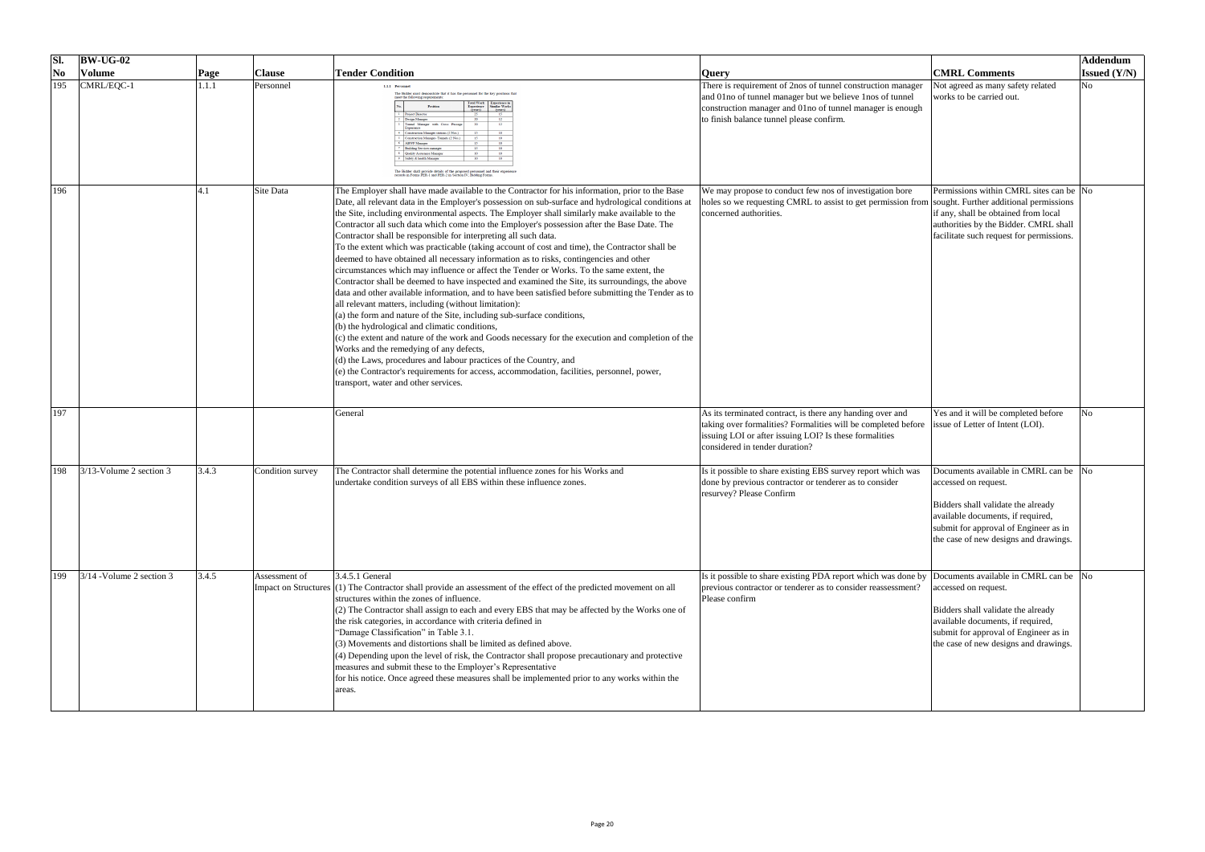| SI.                    | $\vert$ BW-UG-02           |       |                  |                                                                                                                                                                                                                                                                                                                                                                                                                                                                                                                                                                                                                                                                                                                                                                                                                                                                                                                                                                                                                                                                                                                                                                                                                                                                                                                                                                                                                                                                                                                             |                                                                                                                                                                                                                                  |                                                                                                                                                                                                                            | Addendum              |
|------------------------|----------------------------|-------|------------------|-----------------------------------------------------------------------------------------------------------------------------------------------------------------------------------------------------------------------------------------------------------------------------------------------------------------------------------------------------------------------------------------------------------------------------------------------------------------------------------------------------------------------------------------------------------------------------------------------------------------------------------------------------------------------------------------------------------------------------------------------------------------------------------------------------------------------------------------------------------------------------------------------------------------------------------------------------------------------------------------------------------------------------------------------------------------------------------------------------------------------------------------------------------------------------------------------------------------------------------------------------------------------------------------------------------------------------------------------------------------------------------------------------------------------------------------------------------------------------------------------------------------------------|----------------------------------------------------------------------------------------------------------------------------------------------------------------------------------------------------------------------------------|----------------------------------------------------------------------------------------------------------------------------------------------------------------------------------------------------------------------------|-----------------------|
| $\overline{\text{No}}$ | <b>Volume</b>              | Page  | <b>Clause</b>    | <b>Tender Condition</b>                                                                                                                                                                                                                                                                                                                                                                                                                                                                                                                                                                                                                                                                                                                                                                                                                                                                                                                                                                                                                                                                                                                                                                                                                                                                                                                                                                                                                                                                                                     | <b>Query</b>                                                                                                                                                                                                                     | <b>CMRL Comments</b>                                                                                                                                                                                                       | <b>Issued</b> $(Y/N)$ |
| 195                    | CMRL/EQC-1                 | 1.1.1 | Personnel        | 1.1.1 Personnel<br>The Bidder must demonstrate that it has the personnel for the key positions tha<br>meet the following requirements<br>Total Work Experience in<br>Experience Similar Works<br>(years) (years)<br>Position<br><b>Project Director</b><br><b>Design Manager</b><br>12<br>Funnel Manager with Cross Passas<br>Construction Manager stations (2 Nos.)<br>Construction Manager-Tunnels (2 Nos.<br>10<br><b>ABWF</b> Manager<br>15<br>10<br>10<br><b>Building Services manage</b><br>10<br><b>Quality Assurance Manage</b><br>10<br>10<br>afety & health Manage<br>The Bidder shall provide details of the proposed personnel and their experience records in Forms PER-1 and PER-2 in Section IV, Bidding Forms.                                                                                                                                                                                                                                                                                                                                                                                                                                                                                                                                                                                                                                                                                                                                                                                              | There is requirement of 2nos of tunnel construction manager<br>and 01no of tunnel manager but we believe 1nos of tunnel<br>construction manager and 01no of tunnel manager is enough<br>to finish balance tunnel please confirm. | Not agreed as many safety related<br>works to be carried out.                                                                                                                                                              | No.                   |
| 196                    |                            |       | Site Data        | The Employer shall have made available to the Contractor for his information, prior to the Base<br>Date, all relevant data in the Employer's possession on sub-surface and hydrological conditions at<br>the Site, including environmental aspects. The Employer shall similarly make available to the<br>Contractor all such data which come into the Employer's possession after the Base Date. The<br>Contractor shall be responsible for interpreting all such data.<br>To the extent which was practicable (taking account of cost and time), the Contractor shall be<br>deemed to have obtained all necessary information as to risks, contingencies and other<br>circumstances which may influence or affect the Tender or Works. To the same extent, the<br>Contractor shall be deemed to have inspected and examined the Site, its surroundings, the above<br>data and other available information, and to have been satisfied before submitting the Tender as to<br>all relevant matters, including (without limitation):<br>(a) the form and nature of the Site, including sub-surface conditions,<br>(b) the hydrological and climatic conditions,<br>$(c)$ the extent and nature of the work and Goods necessary for the execution and completion of the<br>Works and the remedying of any defects,<br>(d) the Laws, procedures and labour practices of the Country, and<br>(e) the Contractor's requirements for access, accommodation, facilities, personnel, power,<br>transport, water and other services. | We may propose to conduct few nos of investigation bore<br>holes so we requesting CMRL to assist to get permission from sought. Further additional permissions<br>concerned authorities.                                         | Permissions within CMRL sites can be No<br>if any, shall be obtained from local<br>authorities by the Bidder. CMRL shall<br>facilitate such request for permissions.                                                       |                       |
| 197                    |                            |       |                  | General                                                                                                                                                                                                                                                                                                                                                                                                                                                                                                                                                                                                                                                                                                                                                                                                                                                                                                                                                                                                                                                                                                                                                                                                                                                                                                                                                                                                                                                                                                                     | As its terminated contract, is there any handing over and<br>taking over formalities? Formalities will be completed before<br>issuing LOI or after issuing LOI? Is these formalities<br>considered in tender duration?           | Yes and it will be completed before<br>issue of Letter of Intent (LOI).                                                                                                                                                    | NO.                   |
| 198                    | $3/13$ -Volume 2 section 3 | 3.4.3 | Condition survey | The Contractor shall determine the potential influence zones for his Works and<br>undertake condition surveys of all EBS within these influence zones.                                                                                                                                                                                                                                                                                                                                                                                                                                                                                                                                                                                                                                                                                                                                                                                                                                                                                                                                                                                                                                                                                                                                                                                                                                                                                                                                                                      | Is it possible to share existing EBS survey report which was<br>done by previous contractor or tenderer as to consider<br>resurvey? Please Confirm                                                                               | Documents available in CMRL can be No<br>accessed on request.<br>Bidders shall validate the already<br>available documents, if required,<br>submit for approval of Engineer as in<br>the case of new designs and drawings. |                       |
| 199                    | $3/14$ -Volume 2 section 3 | 3.4.5 | Assessment of    | $3.4.5.1$ General<br>Impact on Structures (1) The Contractor shall provide an assessment of the effect of the predicted movement on all<br>structures within the zones of influence.<br>$(2)$ The Contractor shall assign to each and every EBS that may be affected by the Works one of<br>the risk categories, in accordance with criteria defined in<br>"Damage Classification" in Table 3.1.<br>$(3)$ Movements and distortions shall be limited as defined above.<br>(4) Depending upon the level of risk, the Contractor shall propose precautionary and protective<br>measures and submit these to the Employer's Representative<br>for his notice. Once agreed these measures shall be implemented prior to any works within the<br>areas.                                                                                                                                                                                                                                                                                                                                                                                                                                                                                                                                                                                                                                                                                                                                                                          | Is it possible to share existing PDA report which was done by Documents available in CMRL can be No<br>previous contractor or tenderer as to consider reassessment?<br>Please confirm                                            | accessed on request.<br>Bidders shall validate the already<br>available documents, if required,<br>submit for approval of Engineer as in<br>the case of new designs and drawings.                                          |                       |